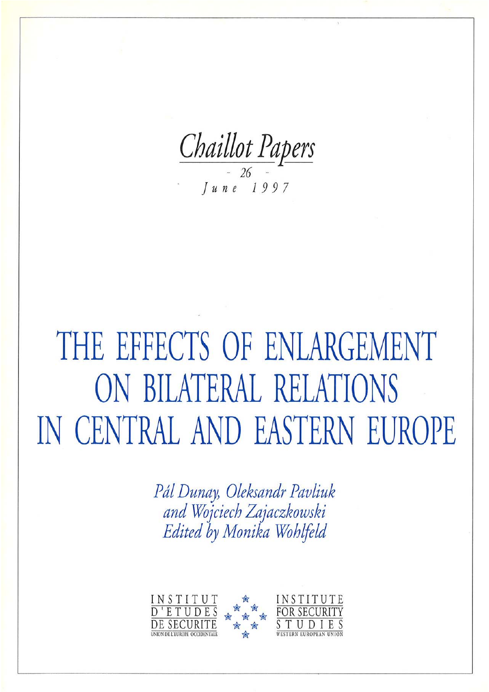Chaillot Papers  $\begin{array}{c|c} \hline \text{1 } & 26 \\ \text{7 } & 26 \\ \hline \end{array}$ 

# THE EFFECTS OF ENLARGEMENT ON BILATERAL RELATIONS IN CENTRAL AND EASTERN EUROPE

Pál Dunay, Oleksandr Pavliuk<br>and Wojciech Zajaczkowski Edited by Monika Wohlfeld

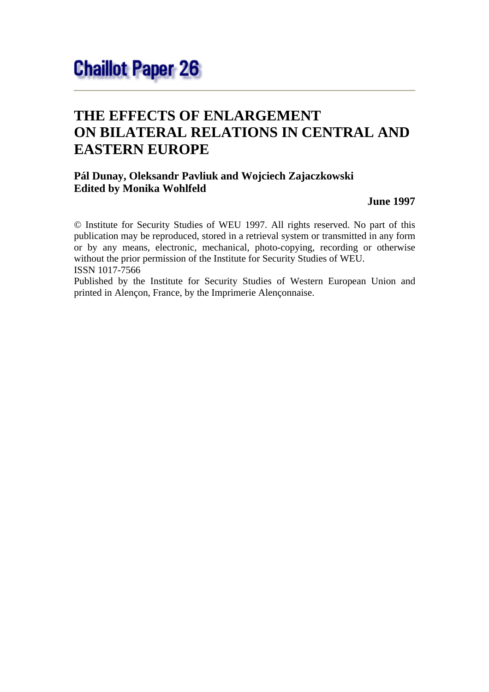## **THE EFFECTS OF ENLARGEMENT ON BILATERAL RELATIONS IN CENTRAL AND EASTERN EUROPE**

### **Pál Dunay, Oleksandr Pavliuk and Wojciech Zajaczkowski Edited by Monika Wohlfeld**

**June 1997**

© Institute for Security Studies of WEU 1997. All rights reserved. No part of this publication may be reproduced, stored in a retrieval system or transmitted in any form or by any means, electronic, mechanical, photo-copying, recording or otherwise without the prior permission of the Institute for Security Studies of WEU. ISSN 1017-7566

Published by the Institute for Security Studies of Western European Union and printed in Alençon, France, by the Imprimerie Alençonnaise.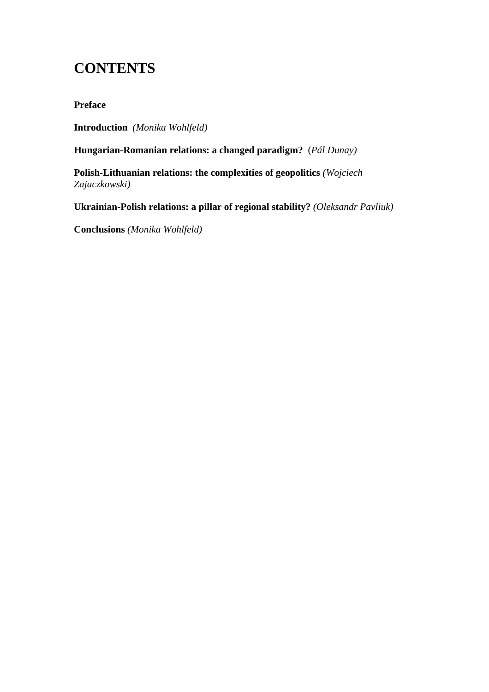## **CONTENTS**

**Preface**

**Introduction** *(Monika Wohlfeld)*

**Hungarian-Romanian relations: a changed paradigm?** (*Pál Dunay)*

**Polish-Lithuanian relations: the complexities of geopolitics** *(Wojciech Zajaczkowski)*

**Ukrainian-Polish relations: a pillar of regional stability?** *(Oleksandr Pavliuk)*

**Conclusions** *(Monika Wohlfeld)*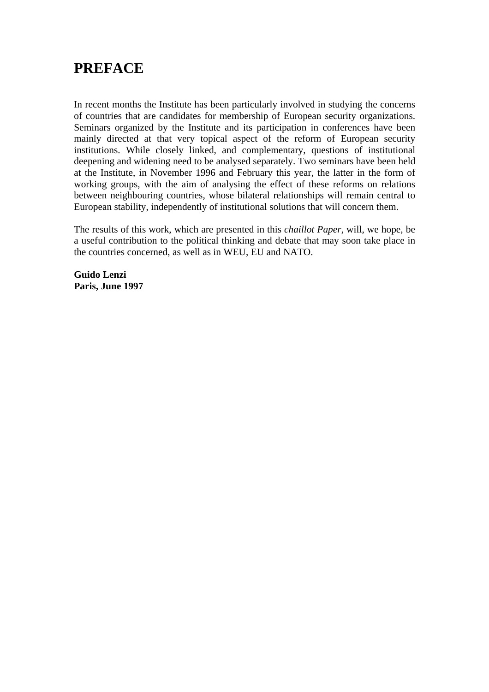## **PREFACE**

In recent months the Institute has been particularly involved in studying the concerns of countries that are candidates for membership of European security organizations. Seminars organized by the Institute and its participation in conferences have been mainly directed at that very topical aspect of the reform of European security institutions. While closely linked, and complementary, questions of institutional deepening and widening need to be analysed separately. Two seminars have been held at the Institute, in November 1996 and February this year, the latter in the form of working groups, with the aim of analysing the effect of these reforms on relations between neighbouring countries, whose bilateral relationships will remain central to European stability, independently of institutional solutions that will concern them.

The results of this work, which are presented in this *chaillot Paper*, will, we hope, be a useful contribution to the political thinking and debate that may soon take place in the countries concerned, as well as in WEU, EU and NATO.

**Guido Lenzi Paris, June 1997**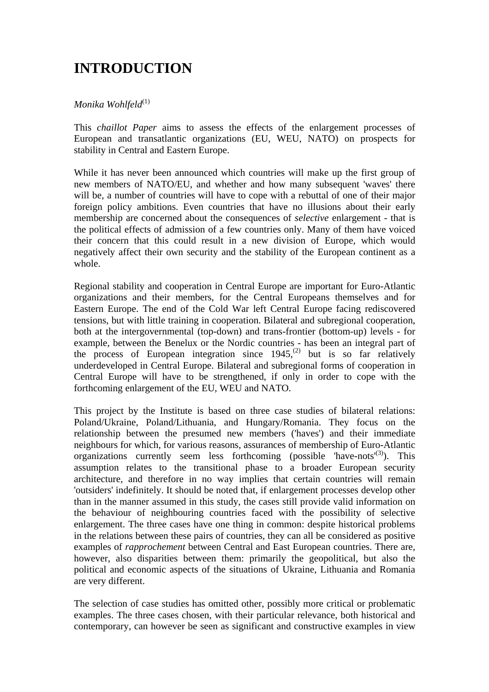## **INTRODUCTION**

#### *Monika Wohlfeld*<sup>(1)</sup>

This *chaillot Paper* aims to assess the effects of the enlargement processes of European and transatlantic organizations (EU, WEU, NATO) on prospects for stability in Central and Eastern Europe.

While it has never been announced which countries will make up the first group of new members of NATO/EU, and whether and how many subsequent 'waves' there will be, a number of countries will have to cope with a rebuttal of one of their major foreign policy ambitions. Even countries that have no illusions about their early membership are concerned about the consequences of *selective* enlargement - that is the political effects of admission of a few countries only. Many of them have voiced their concern that this could result in a new division of Europe, which would negatively affect their own security and the stability of the European continent as a whole.

Regional stability and cooperation in Central Europe are important for Euro-Atlantic organizations and their members, for the Central Europeans themselves and for Eastern Europe. The end of the Cold War left Central Europe facing rediscovered tensions, but with little training in cooperation. Bilateral and subregional cooperation, both at the intergovernmental (top-down) and trans-frontier (bottom-up) levels - for example, between the Benelux or the Nordic countries - has been an integral part of the process of European integration since  $1945$ ,<sup>(2)</sup> but is so far relatively underdeveloped in Central Europe. Bilateral and subregional forms of cooperation in Central Europe will have to be strengthened, if only in order to cope with the forthcoming enlargement of the EU, WEU and NATO.

This project by the Institute is based on three case studies of bilateral relations: Poland/Ukraine, Poland/Lithuania, and Hungary/Romania. They focus on the relationship between the presumed new members ('haves') and their immediate neighbours for which, for various reasons, assurances of membership of Euro-Atlantic organizations currently seem less forthcoming (possible 'have-nots<sup>(3)</sup>). This assumption relates to the transitional phase to a broader European security architecture, and therefore in no way implies that certain countries will remain 'outsiders' indefinitely. It should be noted that, if enlargement processes develop other than in the manner assumed in this study, the cases still provide valid information on the behaviour of neighbouring countries faced with the possibility of selective enlargement. The three cases have one thing in common: despite historical problems in the relations between these pairs of countries, they can all be considered as positive examples of *rapprochement* between Central and East European countries. There are, however, also disparities between them: primarily the geopolitical, but also the political and economic aspects of the situations of Ukraine, Lithuania and Romania are very different.

The selection of case studies has omitted other, possibly more critical or problematic examples. The three cases chosen, with their particular relevance, both historical and contemporary, can however be seen as significant and constructive examples in view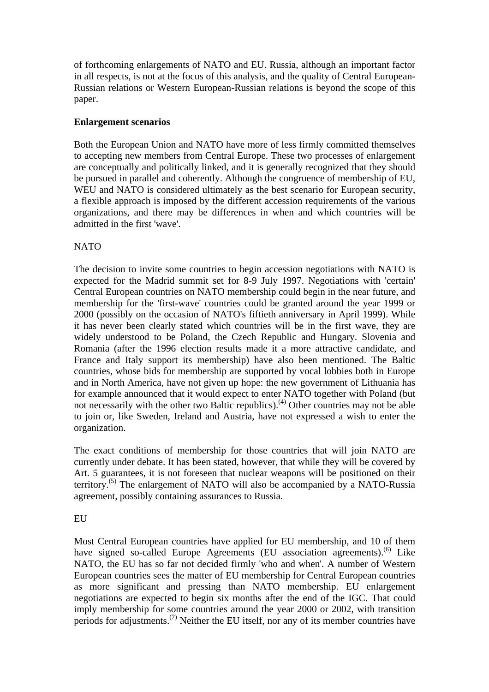of forthcoming enlargements of NATO and EU. Russia, although an important factor in all respects, is not at the focus of this analysis, and the quality of Central European-Russian relations or Western European-Russian relations is beyond the scope of this paper.

#### **Enlargement scenarios**

Both the European Union and NATO have more of less firmly committed themselves to accepting new members from Central Europe. These two processes of enlargement are conceptually and politically linked, and it is generally recognized that they should be pursued in parallel and coherently. Although the congruence of membership of EU, WEU and NATO is considered ultimately as the best scenario for European security, a flexible approach is imposed by the different accession requirements of the various organizations, and there may be differences in when and which countries will be admitted in the first 'wave'.

#### NATO

The decision to invite some countries to begin accession negotiations with NATO is expected for the Madrid summit set for 8-9 July 1997. Negotiations with 'certain' Central European countries on NATO membership could begin in the near future, and membership for the 'first-wave' countries could be granted around the year 1999 or 2000 (possibly on the occasion of NATO's fiftieth anniversary in April 1999). While it has never been clearly stated which countries will be in the first wave, they are widely understood to be Poland, the Czech Republic and Hungary. Slovenia and Romania (after the 1996 election results made it a more attractive candidate, and France and Italy support its membership) have also been mentioned. The Baltic countries, whose bids for membership are supported by vocal lobbies both in Europe and in North America, have not given up hope: the new government of Lithuania has for example announced that it would expect to enter NATO together with Poland (but not necessarily with the other two Baltic republics).<sup>(4)</sup> Other countries may not be able to join or, like Sweden, Ireland and Austria, have not expressed a wish to enter the organization.

The exact conditions of membership for those countries that will join NATO are currently under debate. It has been stated, however, that while they will be covered by Art. 5 guarantees, it is not foreseen that nuclear weapons will be positioned on their territory.<sup> $(5)$ </sup> The enlargement of NATO will also be accompanied by a NATO-Russia agreement, possibly containing assurances to Russia.

#### EU

Most Central European countries have applied for EU membership, and 10 of them have signed so-called Europe Agreements (EU association agreements).<sup> $(6)$ </sup> Like NATO, the EU has so far not decided firmly 'who and when'. A number of Western European countries sees the matter of EU membership for Central European countries as more significant and pressing than NATO membership. EU enlargement negotiations are expected to begin six months after the end of the IGC. That could imply membership for some countries around the year 2000 or 2002, with transition periods for adjustments.<sup>(7)</sup> Neither the EU itself, nor any of its member countries have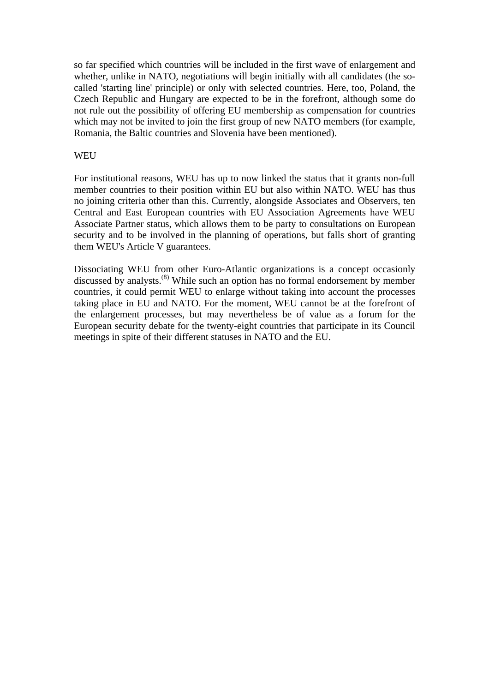so far specified which countries will be included in the first wave of enlargement and whether, unlike in NATO, negotiations will begin initially with all candidates (the socalled 'starting line' principle) or only with selected countries. Here, too, Poland, the Czech Republic and Hungary are expected to be in the forefront, although some do not rule out the possibility of offering EU membership as compensation for countries which may not be invited to join the first group of new NATO members (for example, Romania, the Baltic countries and Slovenia have been mentioned).

#### WEU

For institutional reasons, WEU has up to now linked the status that it grants non-full member countries to their position within EU but also within NATO. WEU has thus no joining criteria other than this. Currently, alongside Associates and Observers, ten Central and East European countries with EU Association Agreements have WEU Associate Partner status, which allows them to be party to consultations on European security and to be involved in the planning of operations, but falls short of granting them WEU's Article V guarantees.

Dissociating WEU from other Euro-Atlantic organizations is a concept occasionly discussed by analysts.<sup>(8)</sup> While such an option has no formal endorsement by member countries, it could permit WEU to enlarge without taking into account the processes taking place in EU and NATO. For the moment, WEU cannot be at the forefront of the enlargement processes, but may nevertheless be of value as a forum for the European security debate for the twenty-eight countries that participate in its Council meetings in spite of their different statuses in NATO and the EU.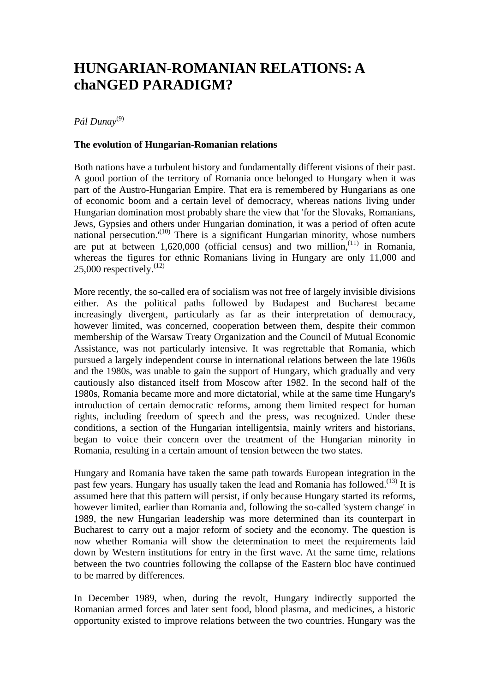## **HUNGARIAN-ROMANIAN RELATIONS: A chaNGED PARADIGM?**

*Pál Dunay*(9)

#### **The evolution of Hungarian-Romanian relations**

Both nations have a turbulent history and fundamentally different visions of their past. A good portion of the territory of Romania once belonged to Hungary when it was part of the Austro-Hungarian Empire. That era is remembered by Hungarians as one of economic boom and a certain level of democracy, whereas nations living under Hungarian domination most probably share the view that 'for the Slovaks, Romanians, Jews, Gypsies and others under Hungarian domination, it was a period of often acute national persecution.<sup>'(10)</sup> There is a significant Hungarian minority, whose numbers are put at between  $1,620,000$  (official census) and two million,<sup> $(11)$ </sup> in Romania, whereas the figures for ethnic Romanians living in Hungary are only 11,000 and 25,000 respectively. $^{(12)}$ 

More recently, the so-called era of socialism was not free of largely invisible divisions either. As the political paths followed by Budapest and Bucharest became increasingly divergent, particularly as far as their interpretation of democracy, however limited, was concerned, cooperation between them, despite their common membership of the Warsaw Treaty Organization and the Council of Mutual Economic Assistance, was not particularly intensive. It was regrettable that Romania, which pursued a largely independent course in international relations between the late 1960s and the 1980s, was unable to gain the support of Hungary, which gradually and very cautiously also distanced itself from Moscow after 1982. In the second half of the 1980s, Romania became more and more dictatorial, while at the same time Hungary's introduction of certain democratic reforms, among them limited respect for human rights, including freedom of speech and the press, was recognized. Under these conditions, a section of the Hungarian intelligentsia, mainly writers and historians, began to voice their concern over the treatment of the Hungarian minority in Romania, resulting in a certain amount of tension between the two states.

Hungary and Romania have taken the same path towards European integration in the past few years. Hungary has usually taken the lead and Romania has followed.<sup>(13)</sup> It is assumed here that this pattern will persist, if only because Hungary started its reforms, however limited, earlier than Romania and, following the so-called 'system change' in 1989, the new Hungarian leadership was more determined than its counterpart in Bucharest to carry out a major reform of society and the economy. The question is now whether Romania will show the determination to meet the requirements laid down by Western institutions for entry in the first wave. At the same time, relations between the two countries following the collapse of the Eastern bloc have continued to be marred by differences.

In December 1989, when, during the revolt, Hungary indirectly supported the Romanian armed forces and later sent food, blood plasma, and medicines, a historic opportunity existed to improve relations between the two countries. Hungary was the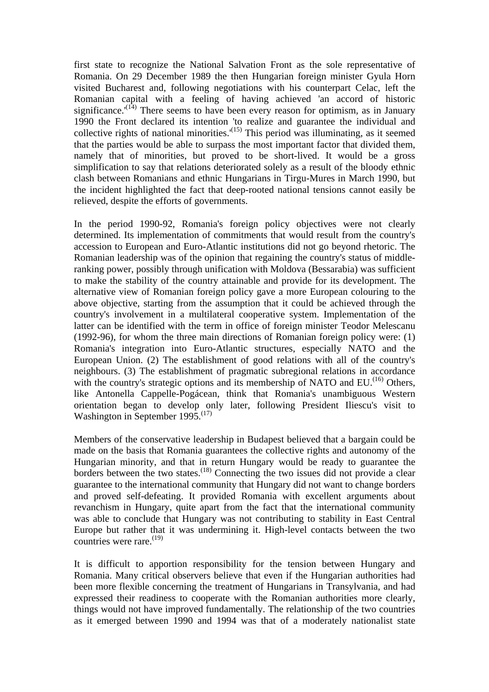first state to recognize the National Salvation Front as the sole representative of Romania. On 29 December 1989 the then Hungarian foreign minister Gyula Horn visited Bucharest and, following negotiations with his counterpart Celac, left the Romanian capital with a feeling of having achieved 'an accord of historic significance.<sup> $(14)$ </sup> There seems to have been every reason for optimism, as in January 1990 the Front declared its intention 'to realize and guarantee the individual and collective rights of national minorities.<sup> $(15)$ </sup> This period was illuminating, as it seemed that the parties would be able to surpass the most important factor that divided them, namely that of minorities, but proved to be short-lived. It would be a gross simplification to say that relations deteriorated solely as a result of the bloody ethnic clash between Romanians and ethnic Hungarians in Tirgu-Mures in March 1990, but the incident highlighted the fact that deep-rooted national tensions cannot easily be relieved, despite the efforts of governments.

In the period 1990-92, Romania's foreign policy objectives were not clearly determined. Its implementation of commitments that would result from the country's accession to European and Euro-Atlantic institutions did not go beyond rhetoric. The Romanian leadership was of the opinion that regaining the country's status of middleranking power, possibly through unification with Moldova (Bessarabia) was sufficient to make the stability of the country attainable and provide for its development. The alternative view of Romanian foreign policy gave a more European colouring to the above objective, starting from the assumption that it could be achieved through the country's involvement in a multilateral cooperative system. Implementation of the latter can be identified with the term in office of foreign minister Teodor Melescanu (1992-96), for whom the three main directions of Romanian foreign policy were: (1) Romania's integration into Euro-Atlantic structures, especially NATO and the European Union. (2) The establishment of good relations with all of the country's neighbours. (3) The establishment of pragmatic subregional relations in accordance with the country's strategic options and its membership of NATO and  $EU^{(16)}$  Others, like Antonella Cappelle-Pogácean, think that Romania's unambiguous Western orientation began to develop only later, following President Iliescu's visit to Washington in September 1995.<sup>(17)</sup>

Members of the conservative leadership in Budapest believed that a bargain could be made on the basis that Romania guarantees the collective rights and autonomy of the Hungarian minority, and that in return Hungary would be ready to guarantee the borders between the two states.<sup>(18)</sup> Connecting the two issues did not provide a clear guarantee to the international community that Hungary did not want to change borders and proved self-defeating. It provided Romania with excellent arguments about revanchism in Hungary, quite apart from the fact that the international community was able to conclude that Hungary was not contributing to stability in East Central Europe but rather that it was undermining it. High-level contacts between the two countries were rare. $(19)$ 

It is difficult to apportion responsibility for the tension between Hungary and Romania. Many critical observers believe that even if the Hungarian authorities had been more flexible concerning the treatment of Hungarians in Transylvania, and had expressed their readiness to cooperate with the Romanian authorities more clearly, things would not have improved fundamentally. The relationship of the two countries as it emerged between 1990 and 1994 was that of a moderately nationalist state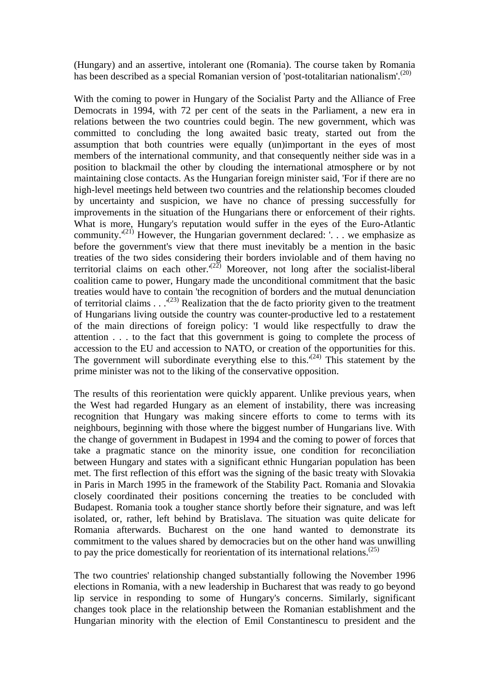(Hungary) and an assertive, intolerant one (Romania). The course taken by Romania has been described as a special Romanian version of 'post-totalitarian nationalism'.<sup>(20)</sup>

With the coming to power in Hungary of the Socialist Party and the Alliance of Free Democrats in 1994, with 72 per cent of the seats in the Parliament, a new era in relations between the two countries could begin. The new government, which was committed to concluding the long awaited basic treaty, started out from the assumption that both countries were equally (un)important in the eyes of most members of the international community, and that consequently neither side was in a position to blackmail the other by clouding the international atmosphere or by not maintaining close contacts. As the Hungarian foreign minister said, 'For if there are no high-level meetings held between two countries and the relationship becomes clouded by uncertainty and suspicion, we have no chance of pressing successfully for improvements in the situation of the Hungarians there or enforcement of their rights. What is more, Hungary's reputation would suffer in the eyes of the Euro-Atlantic community. $(21)$  However, the Hungarian government declared: '... we emphasize as before the government's view that there must inevitably be a mention in the basic treaties of the two sides considering their borders inviolable and of them having no territorial claims on each other.<sup> $(2\overline{2})$ </sup> Moreover, not long after the socialist-liberal coalition came to power, Hungary made the unconditional commitment that the basic treaties would have to contain 'the recognition of borders and the mutual denunciation of territorial claims . . .<sup>(23)</sup> Realization that the de facto priority given to the treatment of Hungarians living outside the country was counter-productive led to a restatement of the main directions of foreign policy: 'I would like respectfully to draw the attention . . . to the fact that this government is going to complete the process of accession to the EU and accession to NATO, or creation of the opportunities for this. The government will subordinate everything else to this.<sup> $(24)$ </sup> This statement by the prime minister was not to the liking of the conservative opposition.

The results of this reorientation were quickly apparent. Unlike previous years, when the West had regarded Hungary as an element of instability, there was increasing recognition that Hungary was making sincere efforts to come to terms with its neighbours, beginning with those where the biggest number of Hungarians live. With the change of government in Budapest in 1994 and the coming to power of forces that take a pragmatic stance on the minority issue, one condition for reconciliation between Hungary and states with a significant ethnic Hungarian population has been met. The first reflection of this effort was the signing of the basic treaty with Slovakia in Paris in March 1995 in the framework of the Stability Pact. Romania and Slovakia closely coordinated their positions concerning the treaties to be concluded with Budapest. Romania took a tougher stance shortly before their signature, and was left isolated, or, rather, left behind by Bratislava. The situation was quite delicate for Romania afterwards. Bucharest on the one hand wanted to demonstrate its commitment to the values shared by democracies but on the other hand was unwilling to pay the price domestically for reorientation of its international relations.<sup> $(25)$ </sup>

The two countries' relationship changed substantially following the November 1996 elections in Romania, with a new leadership in Bucharest that was ready to go beyond lip service in responding to some of Hungary's concerns. Similarly, significant changes took place in the relationship between the Romanian establishment and the Hungarian minority with the election of Emil Constantinescu to president and the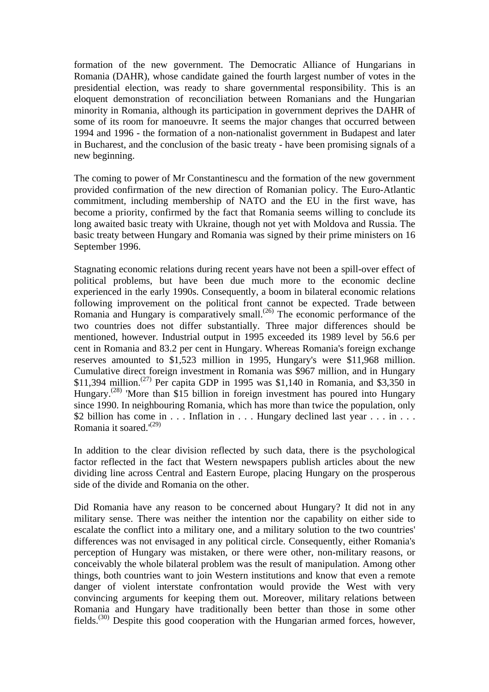formation of the new government. The Democratic Alliance of Hungarians in Romania (DAHR), whose candidate gained the fourth largest number of votes in the presidential election, was ready to share governmental responsibility. This is an eloquent demonstration of reconciliation between Romanians and the Hungarian minority in Romania, although its participation in government deprives the DAHR of some of its room for manoeuvre. It seems the major changes that occurred between 1994 and 1996 - the formation of a non-nationalist government in Budapest and later in Bucharest, and the conclusion of the basic treaty - have been promising signals of a new beginning.

The coming to power of Mr Constantinescu and the formation of the new government provided confirmation of the new direction of Romanian policy. The Euro-Atlantic commitment, including membership of NATO and the EU in the first wave, has become a priority, confirmed by the fact that Romania seems willing to conclude its long awaited basic treaty with Ukraine, though not yet with Moldova and Russia. The basic treaty between Hungary and Romania was signed by their prime ministers on 16 September 1996.

Stagnating economic relations during recent years have not been a spill-over effect of political problems, but have been due much more to the economic decline experienced in the early 1990s. Consequently, a boom in bilateral economic relations following improvement on the political front cannot be expected. Trade between Romania and Hungary is comparatively small.<sup>(26)</sup> The economic performance of the two countries does not differ substantially. Three major differences should be mentioned, however. Industrial output in 1995 exceeded its 1989 level by 56.6 per cent in Romania and 83.2 per cent in Hungary. Whereas Romania's foreign exchange reserves amounted to \$1,523 million in 1995, Hungary's were \$11,968 million. Cumulative direct foreign investment in Romania was \$967 million, and in Hungary \$11,394 million.<sup>(27)</sup> Per capita GDP in 1995 was \$1,140 in Romania, and \$3,350 in Hungary.(28) 'More than \$15 billion in foreign investment has poured into Hungary since 1990. In neighbouring Romania, which has more than twice the population, only \$2 billion has come in . . . Inflation in . . . Hungary declined last year . . . in . . . Romania it soared.'(29)

In addition to the clear division reflected by such data, there is the psychological factor reflected in the fact that Western newspapers publish articles about the new dividing line across Central and Eastern Europe, placing Hungary on the prosperous side of the divide and Romania on the other.

Did Romania have any reason to be concerned about Hungary? It did not in any military sense. There was neither the intention nor the capability on either side to escalate the conflict into a military one, and a military solution to the two countries' differences was not envisaged in any political circle. Consequently, either Romania's perception of Hungary was mistaken, or there were other, non-military reasons, or conceivably the whole bilateral problem was the result of manipulation. Among other things, both countries want to join Western institutions and know that even a remote danger of violent interstate confrontation would provide the West with very convincing arguments for keeping them out. Moreover, military relations between Romania and Hungary have traditionally been better than those in some other fields.<sup> $(30)$ </sup> Despite this good cooperation with the Hungarian armed forces, however,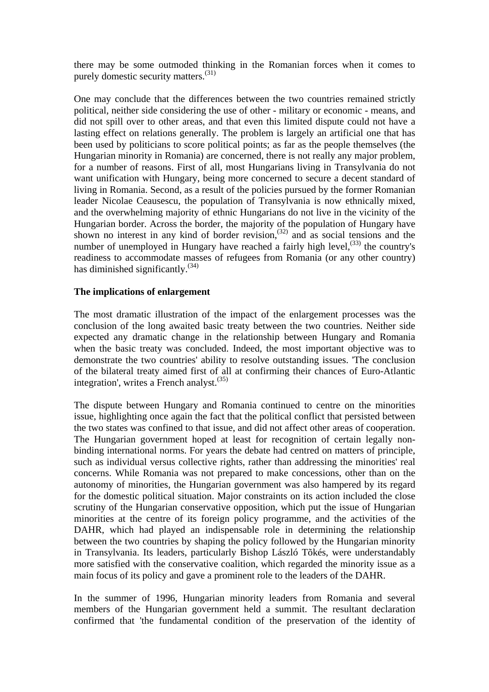there may be some outmoded thinking in the Romanian forces when it comes to purely domestic security matters.(31)

One may conclude that the differences between the two countries remained strictly political, neither side considering the use of other - military or economic - means, and did not spill over to other areas, and that even this limited dispute could not have a lasting effect on relations generally. The problem is largely an artificial one that has been used by politicians to score political points; as far as the people themselves (the Hungarian minority in Romania) are concerned, there is not really any major problem, for a number of reasons. First of all, most Hungarians living in Transylvania do not want unification with Hungary, being more concerned to secure a decent standard of living in Romania. Second, as a result of the policies pursued by the former Romanian leader Nicolae Ceausescu, the population of Transylvania is now ethnically mixed, and the overwhelming majority of ethnic Hungarians do not live in the vicinity of the Hungarian border. Across the border, the majority of the population of Hungary have shown no interest in any kind of border revision,<sup>(32)</sup> and as social tensions and the number of unemployed in Hungary have reached a fairly high level, $^{(33)}$  the country's readiness to accommodate masses of refugees from Romania (or any other country) has diminished significantly. $^{(34)}$ 

#### **The implications of enlargement**

The most dramatic illustration of the impact of the enlargement processes was the conclusion of the long awaited basic treaty between the two countries. Neither side expected any dramatic change in the relationship between Hungary and Romania when the basic treaty was concluded. Indeed, the most important objective was to demonstrate the two countries' ability to resolve outstanding issues. 'The conclusion of the bilateral treaty aimed first of all at confirming their chances of Euro-Atlantic integration', writes a French analyst. $^{(35)}$ 

The dispute between Hungary and Romania continued to centre on the minorities issue, highlighting once again the fact that the political conflict that persisted between the two states was confined to that issue, and did not affect other areas of cooperation. The Hungarian government hoped at least for recognition of certain legally nonbinding international norms. For years the debate had centred on matters of principle, such as individual versus collective rights, rather than addressing the minorities' real concerns. While Romania was not prepared to make concessions, other than on the autonomy of minorities, the Hungarian government was also hampered by its regard for the domestic political situation. Major constraints on its action included the close scrutiny of the Hungarian conservative opposition, which put the issue of Hungarian minorities at the centre of its foreign policy programme, and the activities of the DAHR, which had played an indispensable role in determining the relationship between the two countries by shaping the policy followed by the Hungarian minority in Transylvania. Its leaders, particularly Bishop László Tõkés, were understandably more satisfied with the conservative coalition, which regarded the minority issue as a main focus of its policy and gave a prominent role to the leaders of the DAHR.

In the summer of 1996, Hungarian minority leaders from Romania and several members of the Hungarian government held a summit. The resultant declaration confirmed that 'the fundamental condition of the preservation of the identity of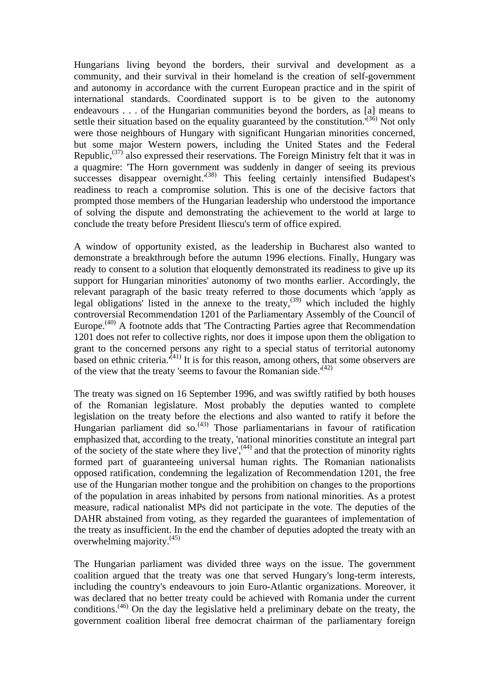Hungarians living beyond the borders, their survival and development as a community, and their survival in their homeland is the creation of self-government and autonomy in accordance with the current European practice and in the spirit of international standards. Coordinated support is to be given to the autonomy endeavours . . . of the Hungarian communities beyond the borders, as [a] means to settle their situation based on the equality guaranteed by the constitution.<sup> $(36)$ </sup> Not only were those neighbours of Hungary with significant Hungarian minorities concerned, but some major Western powers, including the United States and the Federal Republic,<sup> $(37)$ </sup> also expressed their reservations. The Foreign Ministry felt that it was in a quagmire: 'The Horn government was suddenly in danger of seeing its previous  $\frac{1}{2}$  successes disappear overnight.<sup> $(38)$ </sup> This feeling certainly intensified Budapest's readiness to reach a compromise solution. This is one of the decisive factors that prompted those members of the Hungarian leadership who understood the importance of solving the dispute and demonstrating the achievement to the world at large to conclude the treaty before President Iliescu's term of office expired.

A window of opportunity existed, as the leadership in Bucharest also wanted to demonstrate a breakthrough before the autumn 1996 elections. Finally, Hungary was ready to consent to a solution that eloquently demonstrated its readiness to give up its support for Hungarian minorities' autonomy of two months earlier. Accordingly, the relevant paragraph of the basic treaty referred to those documents which 'apply as legal obligations' listed in the annexe to the treaty,<sup>(39)</sup> which included the highly controversial Recommendation 1201 of the Parliamentary Assembly of the Council of Europe.<sup>(40)</sup> A footnote adds that 'The Contracting Parties agree that Recommendation 1201 does not refer to collective rights, nor does it impose upon them the obligation to grant to the concerned persons any right to a special status of territorial autonomy based on ethnic criteria.<sup> $(41)$ </sup> It is for this reason, among others, that some observers are of the view that the treaty 'seems to favour the Romanian side.' $(42)$ 

The treaty was signed on 16 September 1996, and was swiftly ratified by both houses of the Romanian legislature. Most probably the deputies wanted to complete legislation on the treaty before the elections and also wanted to ratify it before the Hungarian parliament did so.<sup>(43)</sup> Those parliamentarians in favour of ratification emphasized that, according to the treaty, 'national minorities constitute an integral part of the society of the state where they live', $(44)$  and that the protection of minority rights formed part of guaranteeing universal human rights. The Romanian nationalists opposed ratification, condemning the legalization of Recommendation 1201, the free use of the Hungarian mother tongue and the prohibition on changes to the proportions of the population in areas inhabited by persons from national minorities. As a protest measure, radical nationalist MPs did not participate in the vote. The deputies of the DAHR abstained from voting, as they regarded the guarantees of implementation of the treaty as insufficient. In the end the chamber of deputies adopted the treaty with an overwhelming majority.(45)

The Hungarian parliament was divided three ways on the issue. The government coalition argued that the treaty was one that served Hungary's long-term interests, including the country's endeavours to join Euro-Atlantic organizations. Moreover, it was declared that no better treaty could be achieved with Romania under the current conditions.<sup> $(46)$ </sup> On the day the legislative held a preliminary debate on the treaty, the government coalition liberal free democrat chairman of the parliamentary foreign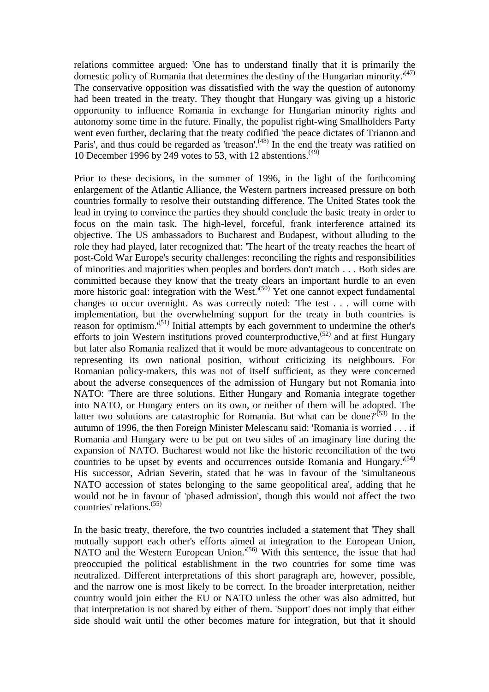relations committee argued: 'One has to understand finally that it is primarily the domestic policy of Romania that determines the destiny of the Hungarian minority.<sup> $(47)$ </sup> The conservative opposition was dissatisfied with the way the question of autonomy had been treated in the treaty. They thought that Hungary was giving up a historic opportunity to influence Romania in exchange for Hungarian minority rights and autonomy some time in the future. Finally, the populist right-wing Smallholders Party went even further, declaring that the treaty codified 'the peace dictates of Trianon and Paris', and thus could be regarded as 'treason'.<sup> $(48)$ </sup> In the end the treaty was ratified on 10 December 1996 by 249 votes to 53, with 12 abstentions.<sup> $(49)$ </sup>

Prior to these decisions, in the summer of 1996, in the light of the forthcoming enlargement of the Atlantic Alliance, the Western partners increased pressure on both countries formally to resolve their outstanding difference. The United States took the lead in trying to convince the parties they should conclude the basic treaty in order to focus on the main task. The high-level, forceful, frank interference attained its objective. The US ambassadors to Bucharest and Budapest, without alluding to the role they had played, later recognized that: 'The heart of the treaty reaches the heart of post-Cold War Europe's security challenges: reconciling the rights and responsibilities of minorities and majorities when peoples and borders don't match . . . Both sides are committed because they know that the treaty clears an important hurdle to an even more historic goal: integration with the West.<sup> $(50)$ </sup> Yet one cannot expect fundamental changes to occur overnight. As was correctly noted: 'The test . . . will come with implementation, but the overwhelming support for the treaty in both countries is reason for optimism.'(51) Initial attempts by each government to undermine the other's efforts to join Western institutions proved counterproductive,<sup> $(52)$ </sup> and at first Hungary but later also Romania realized that it would be more advantageous to concentrate on representing its own national position, without criticizing its neighbours. For Romanian policy-makers, this was not of itself sufficient, as they were concerned about the adverse consequences of the admission of Hungary but not Romania into NATO: 'There are three solutions. Either Hungary and Romania integrate together into NATO, or Hungary enters on its own, or neither of them will be adopted. The latter two solutions are catastrophic for Romania. But what can be done?<sup> $(53)$ </sup> In the autumn of 1996, the then Foreign Minister Melescanu said: 'Romania is worried . . . if Romania and Hungary were to be put on two sides of an imaginary line during the expansion of NATO. Bucharest would not like the historic reconciliation of the two countries to be upset by events and occurrences outside Romania and Hungary.<sup> $(54)$ </sup> His successor, Adrian Severin, stated that he was in favour of the 'simultaneous NATO accession of states belonging to the same geopolitical area', adding that he would not be in favour of 'phased admission', though this would not affect the two countries' relations.(55)

In the basic treaty, therefore, the two countries included a statement that 'They shall mutually support each other's efforts aimed at integration to the European Union, NATO and the Western European Union.<sup>'(56)</sup> With this sentence, the issue that had preoccupied the political establishment in the two countries for some time was neutralized. Different interpretations of this short paragraph are, however, possible, and the narrow one is most likely to be correct. In the broader interpretation, neither country would join either the EU or NATO unless the other was also admitted, but that interpretation is not shared by either of them. 'Support' does not imply that either side should wait until the other becomes mature for integration, but that it should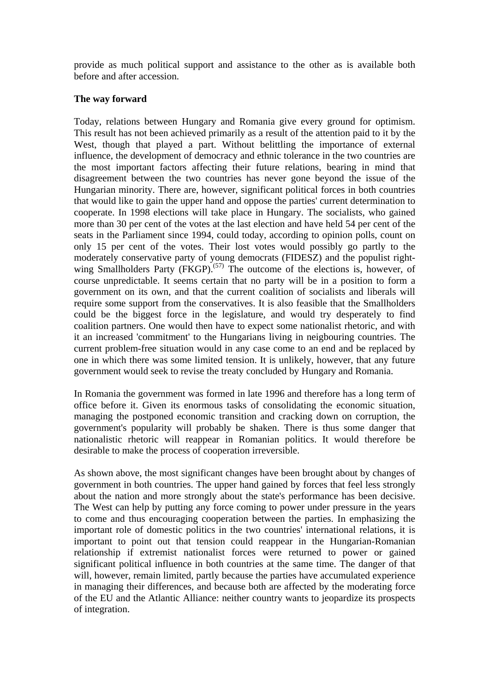provide as much political support and assistance to the other as is available both before and after accession.

#### **The way forward**

Today, relations between Hungary and Romania give every ground for optimism. This result has not been achieved primarily as a result of the attention paid to it by the West, though that played a part. Without belittling the importance of external influence, the development of democracy and ethnic tolerance in the two countries are the most important factors affecting their future relations, bearing in mind that disagreement between the two countries has never gone beyond the issue of the Hungarian minority. There are, however, significant political forces in both countries that would like to gain the upper hand and oppose the parties' current determination to cooperate. In 1998 elections will take place in Hungary. The socialists, who gained more than 30 per cent of the votes at the last election and have held 54 per cent of the seats in the Parliament since 1994, could today, according to opinion polls, count on only 15 per cent of the votes. Their lost votes would possibly go partly to the moderately conservative party of young democrats (FIDESZ) and the populist rightwing Smallholders Party  $(FKGP)$ .<sup> $(57)$ </sup> The outcome of the elections is, however, of course unpredictable. It seems certain that no party will be in a position to form a government on its own, and that the current coalition of socialists and liberals will require some support from the conservatives. It is also feasible that the Smallholders could be the biggest force in the legislature, and would try desperately to find coalition partners. One would then have to expect some nationalist rhetoric, and with it an increased 'commitment' to the Hungarians living in neigbouring countries. The current problem-free situation would in any case come to an end and be replaced by one in which there was some limited tension. It is unlikely, however, that any future government would seek to revise the treaty concluded by Hungary and Romania.

In Romania the government was formed in late 1996 and therefore has a long term of office before it. Given its enormous tasks of consolidating the economic situation, managing the postponed economic transition and cracking down on corruption, the government's popularity will probably be shaken. There is thus some danger that nationalistic rhetoric will reappear in Romanian politics. It would therefore be desirable to make the process of cooperation irreversible.

As shown above, the most significant changes have been brought about by changes of government in both countries. The upper hand gained by forces that feel less strongly about the nation and more strongly about the state's performance has been decisive. The West can help by putting any force coming to power under pressure in the years to come and thus encouraging cooperation between the parties. In emphasizing the important role of domestic politics in the two countries' international relations, it is important to point out that tension could reappear in the Hungarian-Romanian relationship if extremist nationalist forces were returned to power or gained significant political influence in both countries at the same time. The danger of that will, however, remain limited, partly because the parties have accumulated experience in managing their differences, and because both are affected by the moderating force of the EU and the Atlantic Alliance: neither country wants to jeopardize its prospects of integration.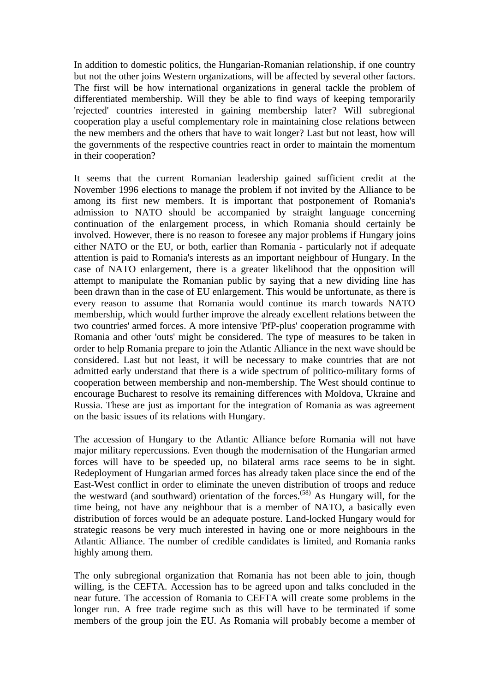In addition to domestic politics, the Hungarian-Romanian relationship, if one country but not the other joins Western organizations, will be affected by several other factors. The first will be how international organizations in general tackle the problem of differentiated membership. Will they be able to find ways of keeping temporarily 'rejected' countries interested in gaining membership later? Will subregional cooperation play a useful complementary role in maintaining close relations between the new members and the others that have to wait longer? Last but not least, how will the governments of the respective countries react in order to maintain the momentum in their cooperation?

It seems that the current Romanian leadership gained sufficient credit at the November 1996 elections to manage the problem if not invited by the Alliance to be among its first new members. It is important that postponement of Romania's admission to NATO should be accompanied by straight language concerning continuation of the enlargement process, in which Romania should certainly be involved. However, there is no reason to foresee any major problems if Hungary joins either NATO or the EU, or both, earlier than Romania - particularly not if adequate attention is paid to Romania's interests as an important neighbour of Hungary. In the case of NATO enlargement, there is a greater likelihood that the opposition will attempt to manipulate the Romanian public by saying that a new dividing line has been drawn than in the case of EU enlargement. This would be unfortunate, as there is every reason to assume that Romania would continue its march towards NATO membership, which would further improve the already excellent relations between the two countries' armed forces. A more intensive 'PfP-plus' cooperation programme with Romania and other 'outs' might be considered. The type of measures to be taken in order to help Romania prepare to join the Atlantic Alliance in the next wave should be considered. Last but not least, it will be necessary to make countries that are not admitted early understand that there is a wide spectrum of politico-military forms of cooperation between membership and non-membership. The West should continue to encourage Bucharest to resolve its remaining differences with Moldova, Ukraine and Russia. These are just as important for the integration of Romania as was agreement on the basic issues of its relations with Hungary.

The accession of Hungary to the Atlantic Alliance before Romania will not have major military repercussions. Even though the modernisation of the Hungarian armed forces will have to be speeded up, no bilateral arms race seems to be in sight. Redeployment of Hungarian armed forces has already taken place since the end of the East-West conflict in order to eliminate the uneven distribution of troops and reduce the westward (and southward) orientation of the forces.<sup> $(58)$ </sup> As Hungary will, for the time being, not have any neighbour that is a member of NATO, a basically even distribution of forces would be an adequate posture. Land-locked Hungary would for strategic reasons be very much interested in having one or more neighbours in the Atlantic Alliance. The number of credible candidates is limited, and Romania ranks highly among them.

The only subregional organization that Romania has not been able to join, though willing, is the CEFTA. Accession has to be agreed upon and talks concluded in the near future. The accession of Romania to CEFTA will create some problems in the longer run. A free trade regime such as this will have to be terminated if some members of the group join the EU. As Romania will probably become a member of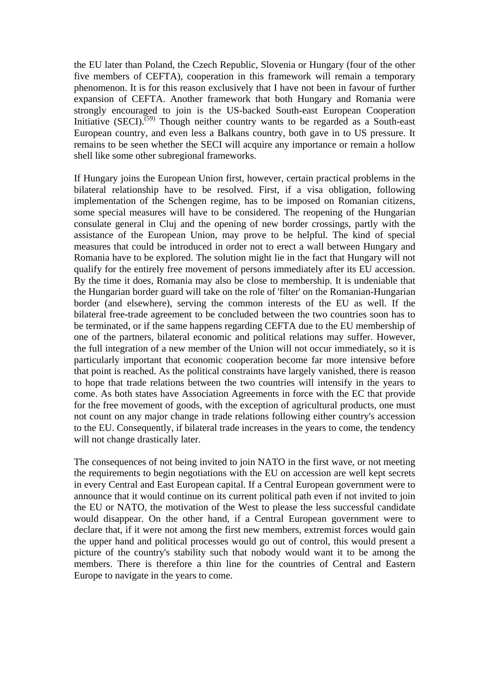the EU later than Poland, the Czech Republic, Slovenia or Hungary (four of the other five members of CEFTA), cooperation in this framework will remain a temporary phenomenon. It is for this reason exclusively that I have not been in favour of further expansion of CEFTA. Another framework that both Hungary and Romania were strongly encouraged to join is the US-backed South-east European Cooperation Initiative (SECI).<sup> $(59)$ </sup> Though neither country wants to be regarded as a South-east European country, and even less a Balkans country, both gave in to US pressure. It remains to be seen whether the SECI will acquire any importance or remain a hollow shell like some other subregional frameworks.

If Hungary joins the European Union first, however, certain practical problems in the bilateral relationship have to be resolved. First, if a visa obligation, following implementation of the Schengen regime, has to be imposed on Romanian citizens, some special measures will have to be considered. The reopening of the Hungarian consulate general in Cluj and the opening of new border crossings, partly with the assistance of the European Union, may prove to be helpful. The kind of special measures that could be introduced in order not to erect a wall between Hungary and Romania have to be explored. The solution might lie in the fact that Hungary will not qualify for the entirely free movement of persons immediately after its EU accession. By the time it does, Romania may also be close to membership. It is undeniable that the Hungarian border guard will take on the role of 'filter' on the Romanian-Hungarian border (and elsewhere), serving the common interests of the EU as well. If the bilateral free-trade agreement to be concluded between the two countries soon has to be terminated, or if the same happens regarding CEFTA due to the EU membership of one of the partners, bilateral economic and political relations may suffer. However, the full integration of a new member of the Union will not occur immediately, so it is particularly important that economic cooperation become far more intensive before that point is reached. As the political constraints have largely vanished, there is reason to hope that trade relations between the two countries will intensify in the years to come. As both states have Association Agreements in force with the EC that provide for the free movement of goods, with the exception of agricultural products, one must not count on any major change in trade relations following either country's accession to the EU. Consequently, if bilateral trade increases in the years to come, the tendency will not change drastically later.

The consequences of not being invited to join NATO in the first wave, or not meeting the requirements to begin negotiations with the EU on accession are well kept secrets in every Central and East European capital. If a Central European government were to announce that it would continue on its current political path even if not invited to join the EU or NATO, the motivation of the West to please the less successful candidate would disappear. On the other hand, if a Central European government were to declare that, if it were not among the first new members, extremist forces would gain the upper hand and political processes would go out of control, this would present a picture of the country's stability such that nobody would want it to be among the members. There is therefore a thin line for the countries of Central and Eastern Europe to navigate in the years to come.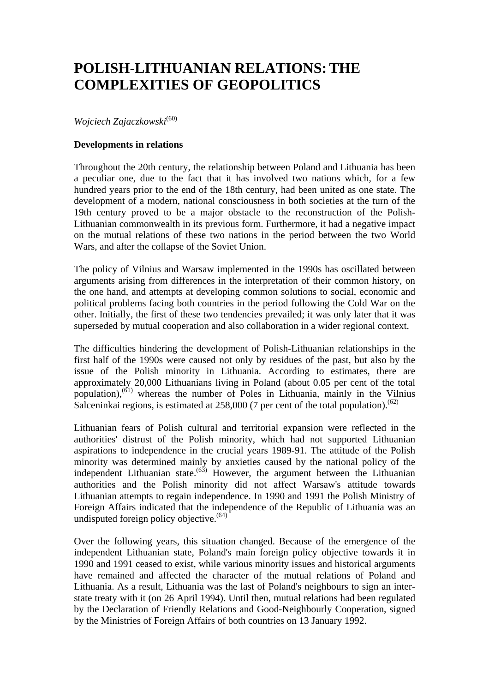## **POLISH-LITHUANIAN RELATIONS:THE COMPLEXITIES OF GEOPOLITICS**

*Wojciech Zajaczkowski*(60)

#### **Developments in relations**

Throughout the 20th century, the relationship between Poland and Lithuania has been a peculiar one, due to the fact that it has involved two nations which, for a few hundred years prior to the end of the 18th century, had been united as one state. The development of a modern, national consciousness in both societies at the turn of the 19th century proved to be a major obstacle to the reconstruction of the Polish-Lithuanian commonwealth in its previous form. Furthermore, it had a negative impact on the mutual relations of these two nations in the period between the two World Wars, and after the collapse of the Soviet Union.

The policy of Vilnius and Warsaw implemented in the 1990s has oscillated between arguments arising from differences in the interpretation of their common history, on the one hand, and attempts at developing common solutions to social, economic and political problems facing both countries in the period following the Cold War on the other. Initially, the first of these two tendencies prevailed; it was only later that it was superseded by mutual cooperation and also collaboration in a wider regional context.

The difficulties hindering the development of Polish-Lithuanian relationships in the first half of the 1990s were caused not only by residues of the past, but also by the issue of the Polish minority in Lithuania. According to estimates, there are approximately 20,000 Lithuanians living in Poland (about 0.05 per cent of the total population), $(61)$  whereas the number of Poles in Lithuania, mainly in the Vilnius Salceninkai regions, is estimated at 258,000 (7 per cent of the total population).<sup> $(62)$ </sup>

Lithuanian fears of Polish cultural and territorial expansion were reflected in the authorities' distrust of the Polish minority, which had not supported Lithuanian aspirations to independence in the crucial years 1989-91. The attitude of the Polish minority was determined mainly by anxieties caused by the national policy of the independent Lithuanian state.<sup> $(63)$ </sup> However, the argument between the Lithuanian authorities and the Polish minority did not affect Warsaw's attitude towards Lithuanian attempts to regain independence. In 1990 and 1991 the Polish Ministry of Foreign Affairs indicated that the independence of the Republic of Lithuania was an undisputed foreign policy objective. $(64)$ 

Over the following years, this situation changed. Because of the emergence of the independent Lithuanian state, Poland's main foreign policy objective towards it in 1990 and 1991 ceased to exist, while various minority issues and historical arguments have remained and affected the character of the mutual relations of Poland and Lithuania. As a result, Lithuania was the last of Poland's neighbours to sign an interstate treaty with it (on 26 April 1994). Until then, mutual relations had been regulated by the Declaration of Friendly Relations and Good-Neighbourly Cooperation, signed by the Ministries of Foreign Affairs of both countries on 13 January 1992.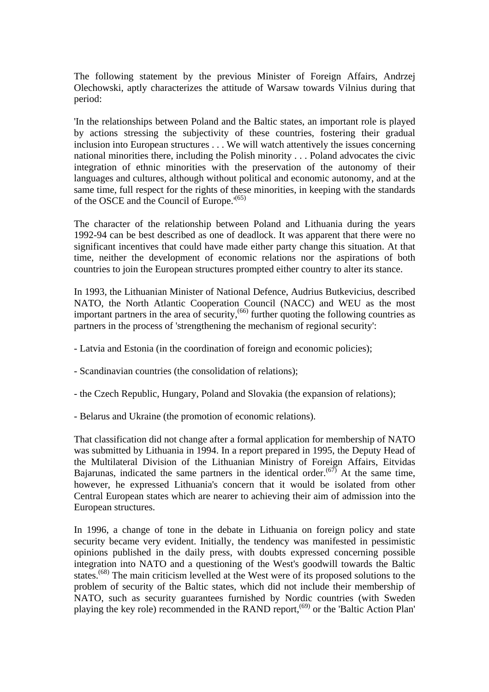The following statement by the previous Minister of Foreign Affairs, Andrzej Olechowski, aptly characterizes the attitude of Warsaw towards Vilnius during that period:

'In the relationships between Poland and the Baltic states, an important role is played by actions stressing the subjectivity of these countries, fostering their gradual inclusion into European structures . . . We will watch attentively the issues concerning national minorities there, including the Polish minority . . . Poland advocates the civic integration of ethnic minorities with the preservation of the autonomy of their languages and cultures, although without political and economic autonomy, and at the same time, full respect for the rights of these minorities, in keeping with the standards of the OSCE and the Council of Europe.'(65)

The character of the relationship between Poland and Lithuania during the years 1992-94 can be best described as one of deadlock. It was apparent that there were no significant incentives that could have made either party change this situation. At that time, neither the development of economic relations nor the aspirations of both countries to join the European structures prompted either country to alter its stance.

In 1993, the Lithuanian Minister of National Defence, Audrius Butkevicius, described NATO, the North Atlantic Cooperation Council (NACC) and WEU as the most important partners in the area of security,(66) further quoting the following countries as partners in the process of 'strengthening the mechanism of regional security':

- Latvia and Estonia (in the coordination of foreign and economic policies);
- Scandinavian countries (the consolidation of relations);
- the Czech Republic, Hungary, Poland and Slovakia (the expansion of relations);
- Belarus and Ukraine (the promotion of economic relations).

That classification did not change after a formal application for membership of NATO was submitted by Lithuania in 1994. In a report prepared in 1995, the Deputy Head of the Multilateral Division of the Lithuanian Ministry of Foreign Affairs, Eitvidas Bajarunas, indicated the same partners in the identical order.<sup> $(67)$ </sup> At the same time, however, he expressed Lithuania's concern that it would be isolated from other Central European states which are nearer to achieving their aim of admission into the European structures.

In 1996, a change of tone in the debate in Lithuania on foreign policy and state security became very evident. Initially, the tendency was manifested in pessimistic opinions published in the daily press, with doubts expressed concerning possible integration into NATO and a questioning of the West's goodwill towards the Baltic states.<sup>(68)</sup> The main criticism levelled at the West were of its proposed solutions to the problem of security of the Baltic states, which did not include their membership of NATO, such as security guarantees furnished by Nordic countries (with Sweden playing the key role) recommended in the RAND report,(69) or the 'Baltic Action Plan'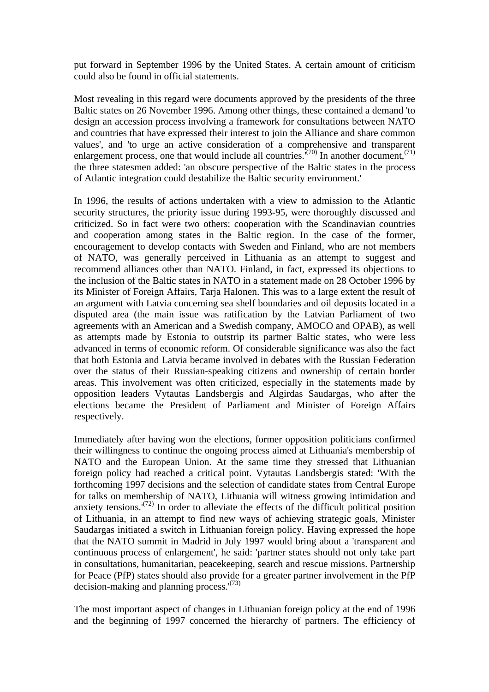put forward in September 1996 by the United States. A certain amount of criticism could also be found in official statements.

Most revealing in this regard were documents approved by the presidents of the three Baltic states on 26 November 1996. Among other things, these contained a demand 'to design an accession process involving a framework for consultations between NATO and countries that have expressed their interest to join the Alliance and share common values', and 'to urge an active consideration of a comprehensive and transparent enlargement process, one that would include all countries.<sup> $(70)$ </sup> In another document,<sup> $(71)$ </sup> the three statesmen added: 'an obscure perspective of the Baltic states in the process of Atlantic integration could destabilize the Baltic security environment.'

In 1996, the results of actions undertaken with a view to admission to the Atlantic security structures, the priority issue during 1993-95, were thoroughly discussed and criticized. So in fact were two others: cooperation with the Scandinavian countries and cooperation among states in the Baltic region. In the case of the former, encouragement to develop contacts with Sweden and Finland, who are not members of NATO, was generally perceived in Lithuania as an attempt to suggest and recommend alliances other than NATO. Finland, in fact, expressed its objections to the inclusion of the Baltic states in NATO in a statement made on 28 October 1996 by its Minister of Foreign Affairs, Tarja Halonen. This was to a large extent the result of an argument with Latvia concerning sea shelf boundaries and oil deposits located in a disputed area (the main issue was ratification by the Latvian Parliament of two agreements with an American and a Swedish company, AMOCO and OPAB), as well as attempts made by Estonia to outstrip its partner Baltic states, who were less advanced in terms of economic reform. Of considerable significance was also the fact that both Estonia and Latvia became involved in debates with the Russian Federation over the status of their Russian-speaking citizens and ownership of certain border areas. This involvement was often criticized, especially in the statements made by opposition leaders Vytautas Landsbergis and Algirdas Saudargas, who after the elections became the President of Parliament and Minister of Foreign Affairs respectively.

Immediately after having won the elections, former opposition politicians confirmed their willingness to continue the ongoing process aimed at Lithuania's membership of NATO and the European Union. At the same time they stressed that Lithuanian foreign policy had reached a critical point. Vytautas Landsbergis stated: 'With the forthcoming 1997 decisions and the selection of candidate states from Central Europe for talks on membership of NATO, Lithuania will witness growing intimidation and anxiety tensions.<sup> $(72)$ </sup> In order to alleviate the effects of the difficult political position of Lithuania, in an attempt to find new ways of achieving strategic goals, Minister Saudargas initiated a switch in Lithuanian foreign policy. Having expressed the hope that the NATO summit in Madrid in July 1997 would bring about a 'transparent and continuous process of enlargement', he said: 'partner states should not only take part in consultations, humanitarian, peacekeeping, search and rescue missions. Partnership for Peace (PfP) states should also provide for a greater partner involvement in the PfP decision-making and planning process.'(73)

The most important aspect of changes in Lithuanian foreign policy at the end of 1996 and the beginning of 1997 concerned the hierarchy of partners. The efficiency of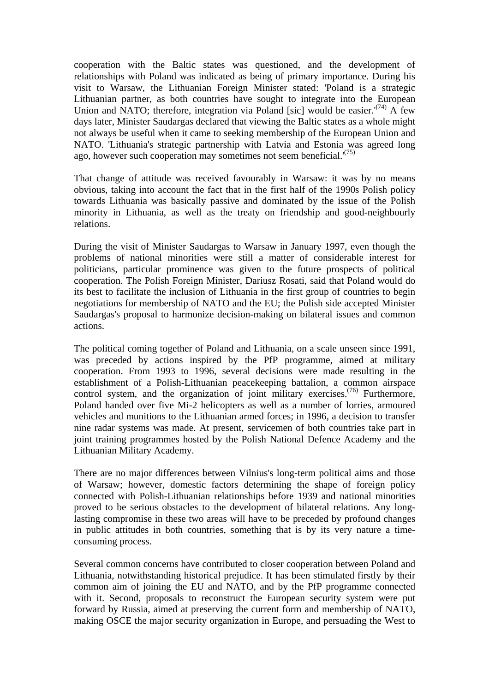cooperation with the Baltic states was questioned, and the development of relationships with Poland was indicated as being of primary importance. During his visit to Warsaw, the Lithuanian Foreign Minister stated: 'Poland is a strategic Lithuanian partner, as both countries have sought to integrate into the European Union and NATO; therefore, integration via Poland [sic] would be easier.<sup> $(74)$ </sup> A few days later, Minister Saudargas declared that viewing the Baltic states as a whole might not always be useful when it came to seeking membership of the European Union and NATO. 'Lithuania's strategic partnership with Latvia and Estonia was agreed long ago, however such cooperation may sometimes not seem beneficial. $(75)$ 

That change of attitude was received favourably in Warsaw: it was by no means obvious, taking into account the fact that in the first half of the 1990s Polish policy towards Lithuania was basically passive and dominated by the issue of the Polish minority in Lithuania, as well as the treaty on friendship and good-neighbourly relations.

During the visit of Minister Saudargas to Warsaw in January 1997, even though the problems of national minorities were still a matter of considerable interest for politicians, particular prominence was given to the future prospects of political cooperation. The Polish Foreign Minister, Dariusz Rosati, said that Poland would do its best to facilitate the inclusion of Lithuania in the first group of countries to begin negotiations for membership of NATO and the EU; the Polish side accepted Minister Saudargas's proposal to harmonize decision-making on bilateral issues and common actions.

The political coming together of Poland and Lithuania, on a scale unseen since 1991, was preceded by actions inspired by the PfP programme, aimed at military cooperation. From 1993 to 1996, several decisions were made resulting in the establishment of a Polish-Lithuanian peacekeeping battalion, a common airspace control system, and the organization of joint military exercises.<sup>(76)</sup> Furthermore, Poland handed over five Mi-2 helicopters as well as a number of lorries, armoured vehicles and munitions to the Lithuanian armed forces; in 1996, a decision to transfer nine radar systems was made. At present, servicemen of both countries take part in joint training programmes hosted by the Polish National Defence Academy and the Lithuanian Military Academy.

There are no major differences between Vilnius's long-term political aims and those of Warsaw; however, domestic factors determining the shape of foreign policy connected with Polish-Lithuanian relationships before 1939 and national minorities proved to be serious obstacles to the development of bilateral relations. Any longlasting compromise in these two areas will have to be preceded by profound changes in public attitudes in both countries, something that is by its very nature a timeconsuming process.

Several common concerns have contributed to closer cooperation between Poland and Lithuania, notwithstanding historical prejudice. It has been stimulated firstly by their common aim of joining the EU and NATO, and by the PfP programme connected with it. Second, proposals to reconstruct the European security system were put forward by Russia, aimed at preserving the current form and membership of NATO, making OSCE the major security organization in Europe, and persuading the West to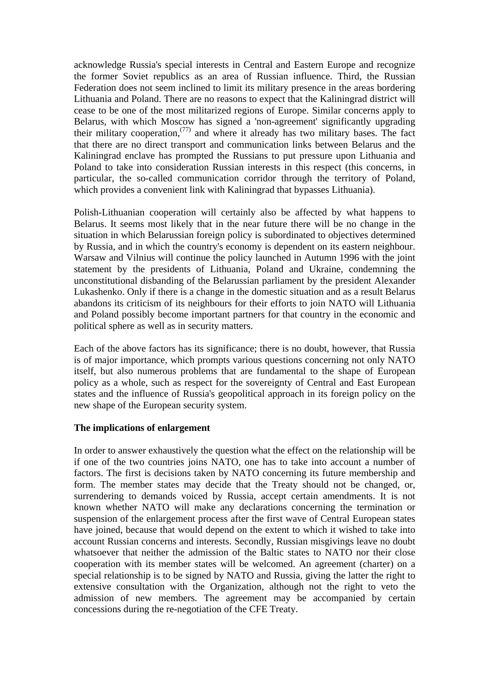acknowledge Russia's special interests in Central and Eastern Europe and recognize the former Soviet republics as an area of Russian influence. Third, the Russian Federation does not seem inclined to limit its military presence in the areas bordering Lithuania and Poland. There are no reasons to expect that the Kaliningrad district will cease to be one of the most militarized regions of Europe. Similar concerns apply to Belarus, with which Moscow has signed a 'non-agreement' significantly upgrading their military cooperation, $(77)$  and where it already has two military bases. The fact that there are no direct transport and communication links between Belarus and the Kaliningrad enclave has prompted the Russians to put pressure upon Lithuania and Poland to take into consideration Russian interests in this respect (this concerns, in particular, the so-called communication corridor through the territory of Poland, which provides a convenient link with Kaliningrad that bypasses Lithuania).

Polish-Lithuanian cooperation will certainly also be affected by what happens to Belarus. It seems most likely that in the near future there will be no change in the situation in which Belarussian foreign policy is subordinated to objectives determined by Russia, and in which the country's economy is dependent on its eastern neighbour. Warsaw and Vilnius will continue the policy launched in Autumn 1996 with the joint statement by the presidents of Lithuania, Poland and Ukraine, condemning the unconstitutional disbanding of the Belarussian parliament by the president Alexander Lukashenko. Only if there is a change in the domestic situation and as a result Belarus abandons its criticism of its neighbours for their efforts to join NATO will Lithuania and Poland possibly become important partners for that country in the economic and political sphere as well as in security matters.

Each of the above factors has its significance; there is no doubt, however, that Russia is of major importance, which prompts various questions concerning not only NATO itself, but also numerous problems that are fundamental to the shape of European policy as a whole, such as respect for the sovereignty of Central and East European states and the influence of Russia's geopolitical approach in its foreign policy on the new shape of the European security system.

#### **The implications of enlargement**

In order to answer exhaustively the question what the effect on the relationship will be if one of the two countries joins NATO, one has to take into account a number of factors. The first is decisions taken by NATO concerning its future membership and form. The member states may decide that the Treaty should not be changed, or, surrendering to demands voiced by Russia, accept certain amendments. It is not known whether NATO will make any declarations concerning the termination or suspension of the enlargement process after the first wave of Central European states have joined, because that would depend on the extent to which it wished to take into account Russian concerns and interests. Secondly, Russian misgivings leave no doubt whatsoever that neither the admission of the Baltic states to NATO nor their close cooperation with its member states will be welcomed. An agreement (charter) on a special relationship is to be signed by NATO and Russia, giving the latter the right to extensive consultation with the Organization, although not the right to veto the admission of new members. The agreement may be accompanied by certain concessions during the re-negotiation of the CFE Treaty.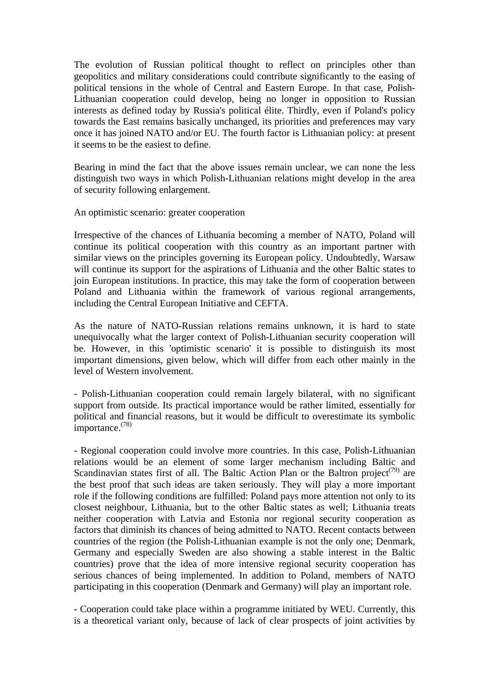The evolution of Russian political thought to reflect on principles other than geopolitics and military considerations could contribute significantly to the easing of political tensions in the whole of Central and Eastern Europe. In that case, Polish-Lithuanian cooperation could develop, being no longer in opposition to Russian interests as defined today by Russia's political élite. Thirdly, even if Poland's policy towards the East remains basically unchanged, its priorities and preferences may vary once it has joined NATO and/or EU. The fourth factor is Lithuanian policy: at present it seems to be the easiest to define.

Bearing in mind the fact that the above issues remain unclear, we can none the less distinguish two ways in which Polish-Lithuanian relations might develop in the area of security following enlargement.

An optimistic scenario: greater cooperation

Irrespective of the chances of Lithuania becoming a member of NATO, Poland will continue its political cooperation with this country as an important partner with similar views on the principles governing its European policy. Undoubtedly, Warsaw will continue its support for the aspirations of Lithuania and the other Baltic states to join European institutions. In practice, this may take the form of cooperation between Poland and Lithuania within the framework of various regional arrangements, including the Central European Initiative and CEFTA.

As the nature of NATO-Russian relations remains unknown, it is hard to state unequivocally what the larger context of Polish-Lithuanian security cooperation will be. However, in this 'optimistic scenario' it is possible to distinguish its most important dimensions, given below, which will differ from each other mainly in the level of Western involvement.

- Polish-Lithuanian cooperation could remain largely bilateral, with no significant support from outside. Its practical importance would be rather limited, essentially for political and financial reasons, but it would be difficult to overestimate its symbolic importance.(78)

- Regional cooperation could involve more countries. In this case, Polish-Lithuanian relations would be an element of some larger mechanism including Baltic and Scandinavian states first of all. The Baltic Action Plan or the Baltron project<sup>(79)</sup> are the best proof that such ideas are taken seriously. They will play a more important role if the following conditions are fulfilled: Poland pays more attention not only to its closest neighbour, Lithuania, but to the other Baltic states as well; Lithuania treats neither cooperation with Latvia and Estonia nor regional security cooperation as factors that diminish its chances of being admitted to NATO. Recent contacts between countries of the region (the Polish-Lithuanian example is not the only one; Denmark, Germany and especially Sweden are also showing a stable interest in the Baltic countries) prove that the idea of more intensive regional security cooperation has serious chances of being implemented. In addition to Poland, members of NATO participating in this cooperation (Denmark and Germany) will play an important role.

- Cooperation could take place within a programme initiated by WEU. Currently, this is a theoretical variant only, because of lack of clear prospects of joint activities by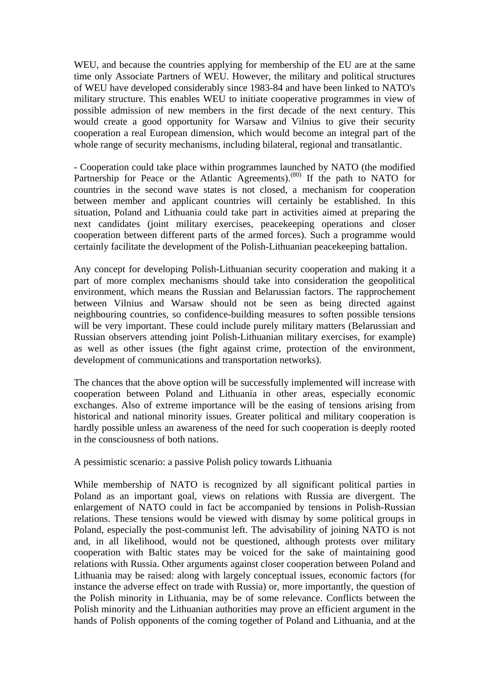WEU, and because the countries applying for membership of the EU are at the same time only Associate Partners of WEU. However, the military and political structures of WEU have developed considerably since 1983-84 and have been linked to NATO's military structure. This enables WEU to initiate cooperative programmes in view of possible admission of new members in the first decade of the next century. This would create a good opportunity for Warsaw and Vilnius to give their security cooperation a real European dimension, which would become an integral part of the whole range of security mechanisms, including bilateral, regional and transatlantic.

- Cooperation could take place within programmes launched by NATO (the modified Partnership for Peace or the Atlantic Agreements).<sup>(80)</sup> If the path to NATO for countries in the second wave states is not closed, a mechanism for cooperation between member and applicant countries will certainly be established. In this situation, Poland and Lithuania could take part in activities aimed at preparing the next candidates (joint military exercises, peacekeeping operations and closer cooperation between different parts of the armed forces). Such a programme would certainly facilitate the development of the Polish-Lithuanian peacekeeping battalion.

Any concept for developing Polish-Lithuanian security cooperation and making it a part of more complex mechanisms should take into consideration the geopolitical environment, which means the Russian and Belarussian factors. The rapprochement between Vilnius and Warsaw should not be seen as being directed against neighbouring countries, so confidence-building measures to soften possible tensions will be very important. These could include purely military matters (Belarussian and Russian observers attending joint Polish-Lithuanian military exercises, for example) as well as other issues (the fight against crime, protection of the environment, development of communications and transportation networks).

The chances that the above option will be successfully implemented will increase with cooperation between Poland and Lithuania in other areas, especially economic exchanges. Also of extreme importance will be the easing of tensions arising from historical and national minority issues. Greater political and military cooperation is hardly possible unless an awareness of the need for such cooperation is deeply rooted in the consciousness of both nations.

A pessimistic scenario: a passive Polish policy towards Lithuania

While membership of NATO is recognized by all significant political parties in Poland as an important goal, views on relations with Russia are divergent. The enlargement of NATO could in fact be accompanied by tensions in Polish-Russian relations. These tensions would be viewed with dismay by some political groups in Poland, especially the post-communist left. The advisability of joining NATO is not and, in all likelihood, would not be questioned, although protests over military cooperation with Baltic states may be voiced for the sake of maintaining good relations with Russia. Other arguments against closer cooperation between Poland and Lithuania may be raised: along with largely conceptual issues, economic factors (for instance the adverse effect on trade with Russia) or, more importantly, the question of the Polish minority in Lithuania, may be of some relevance. Conflicts between the Polish minority and the Lithuanian authorities may prove an efficient argument in the hands of Polish opponents of the coming together of Poland and Lithuania, and at the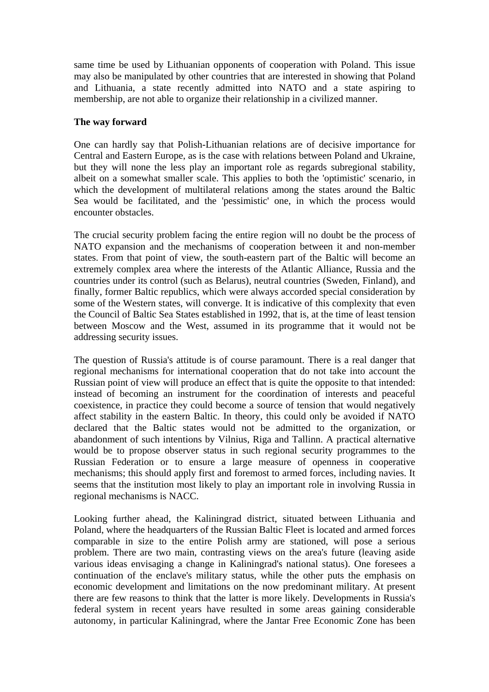same time be used by Lithuanian opponents of cooperation with Poland. This issue may also be manipulated by other countries that are interested in showing that Poland and Lithuania, a state recently admitted into NATO and a state aspiring to membership, are not able to organize their relationship in a civilized manner.

#### **The way forward**

One can hardly say that Polish-Lithuanian relations are of decisive importance for Central and Eastern Europe, as is the case with relations between Poland and Ukraine, but they will none the less play an important role as regards subregional stability, albeit on a somewhat smaller scale. This applies to both the 'optimistic' scenario, in which the development of multilateral relations among the states around the Baltic Sea would be facilitated, and the 'pessimistic' one, in which the process would encounter obstacles.

The crucial security problem facing the entire region will no doubt be the process of NATO expansion and the mechanisms of cooperation between it and non-member states. From that point of view, the south-eastern part of the Baltic will become an extremely complex area where the interests of the Atlantic Alliance, Russia and the countries under its control (such as Belarus), neutral countries (Sweden, Finland), and finally, former Baltic republics, which were always accorded special consideration by some of the Western states, will converge. It is indicative of this complexity that even the Council of Baltic Sea States established in 1992, that is, at the time of least tension between Moscow and the West, assumed in its programme that it would not be addressing security issues.

The question of Russia's attitude is of course paramount. There is a real danger that regional mechanisms for international cooperation that do not take into account the Russian point of view will produce an effect that is quite the opposite to that intended: instead of becoming an instrument for the coordination of interests and peaceful coexistence, in practice they could become a source of tension that would negatively affect stability in the eastern Baltic. In theory, this could only be avoided if NATO declared that the Baltic states would not be admitted to the organization, or abandonment of such intentions by Vilnius, Riga and Tallinn. A practical alternative would be to propose observer status in such regional security programmes to the Russian Federation or to ensure a large measure of openness in cooperative mechanisms; this should apply first and foremost to armed forces, including navies. It seems that the institution most likely to play an important role in involving Russia in regional mechanisms is NACC.

Looking further ahead, the Kaliningrad district, situated between Lithuania and Poland, where the headquarters of the Russian Baltic Fleet is located and armed forces comparable in size to the entire Polish army are stationed, will pose a serious problem. There are two main, contrasting views on the area's future (leaving aside various ideas envisaging a change in Kaliningrad's national status). One foresees a continuation of the enclave's military status, while the other puts the emphasis on economic development and limitations on the now predominant military. At present there are few reasons to think that the latter is more likely. Developments in Russia's federal system in recent years have resulted in some areas gaining considerable autonomy, in particular Kaliningrad, where the Jantar Free Economic Zone has been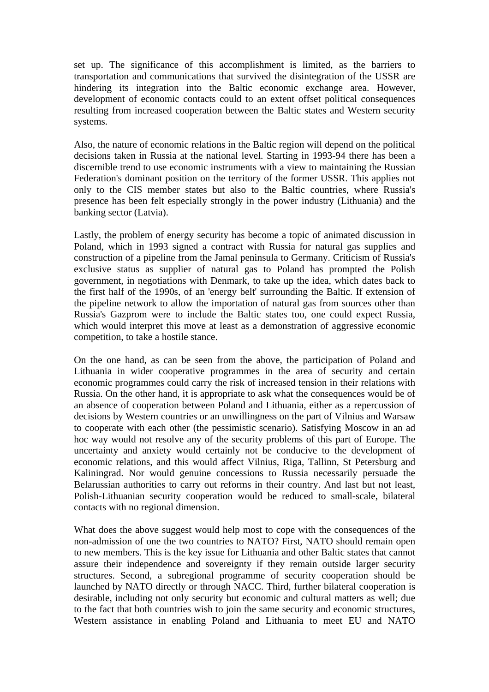set up. The significance of this accomplishment is limited, as the barriers to transportation and communications that survived the disintegration of the USSR are hindering its integration into the Baltic economic exchange area. However, development of economic contacts could to an extent offset political consequences resulting from increased cooperation between the Baltic states and Western security systems.

Also, the nature of economic relations in the Baltic region will depend on the political decisions taken in Russia at the national level. Starting in 1993-94 there has been a discernible trend to use economic instruments with a view to maintaining the Russian Federation's dominant position on the territory of the former USSR. This applies not only to the CIS member states but also to the Baltic countries, where Russia's presence has been felt especially strongly in the power industry (Lithuania) and the banking sector (Latvia).

Lastly, the problem of energy security has become a topic of animated discussion in Poland, which in 1993 signed a contract with Russia for natural gas supplies and construction of a pipeline from the Jamal peninsula to Germany. Criticism of Russia's exclusive status as supplier of natural gas to Poland has prompted the Polish government, in negotiations with Denmark, to take up the idea, which dates back to the first half of the 1990s, of an 'energy belt' surrounding the Baltic. If extension of the pipeline network to allow the importation of natural gas from sources other than Russia's Gazprom were to include the Baltic states too, one could expect Russia, which would interpret this move at least as a demonstration of aggressive economic competition, to take a hostile stance.

On the one hand, as can be seen from the above, the participation of Poland and Lithuania in wider cooperative programmes in the area of security and certain economic programmes could carry the risk of increased tension in their relations with Russia. On the other hand, it is appropriate to ask what the consequences would be of an absence of cooperation between Poland and Lithuania, either as a repercussion of decisions by Western countries or an unwillingness on the part of Vilnius and Warsaw to cooperate with each other (the pessimistic scenario). Satisfying Moscow in an ad hoc way would not resolve any of the security problems of this part of Europe. The uncertainty and anxiety would certainly not be conducive to the development of economic relations, and this would affect Vilnius, Riga, Tallinn, St Petersburg and Kaliningrad. Nor would genuine concessions to Russia necessarily persuade the Belarussian authorities to carry out reforms in their country. And last but not least, Polish-Lithuanian security cooperation would be reduced to small-scale, bilateral contacts with no regional dimension.

What does the above suggest would help most to cope with the consequences of the non-admission of one the two countries to NATO? First, NATO should remain open to new members. This is the key issue for Lithuania and other Baltic states that cannot assure their independence and sovereignty if they remain outside larger security structures. Second, a subregional programme of security cooperation should be launched by NATO directly or through NACC. Third, further bilateral cooperation is desirable, including not only security but economic and cultural matters as well; due to the fact that both countries wish to join the same security and economic structures, Western assistance in enabling Poland and Lithuania to meet EU and NATO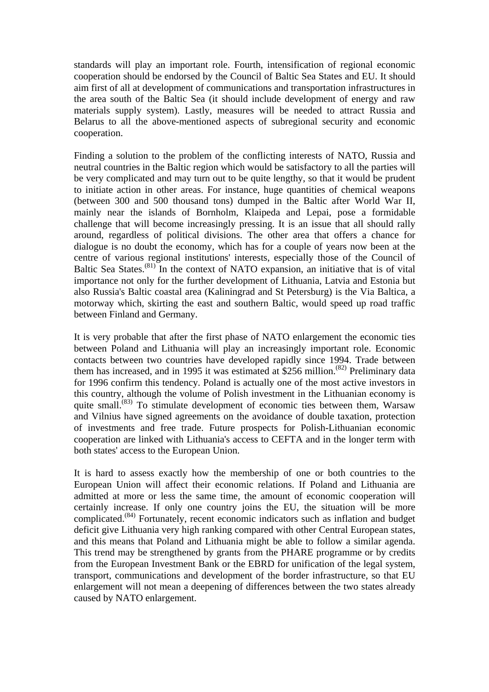standards will play an important role. Fourth, intensification of regional economic cooperation should be endorsed by the Council of Baltic Sea States and EU. It should aim first of all at development of communications and transportation infrastructures in the area south of the Baltic Sea (it should include development of energy and raw materials supply system). Lastly, measures will be needed to attract Russia and Belarus to all the above-mentioned aspects of subregional security and economic cooperation.

Finding a solution to the problem of the conflicting interests of NATO, Russia and neutral countries in the Baltic region which would be satisfactory to all the parties will be very complicated and may turn out to be quite lengthy, so that it would be prudent to initiate action in other areas. For instance, huge quantities of chemical weapons (between 300 and 500 thousand tons) dumped in the Baltic after World War II, mainly near the islands of Bornholm, Klaipeda and Lepai, pose a formidable challenge that will become increasingly pressing. It is an issue that all should rally around, regardless of political divisions. The other area that offers a chance for dialogue is no doubt the economy, which has for a couple of years now been at the centre of various regional institutions' interests, especially those of the Council of Baltic Sea States.<sup>(81)</sup> In the context of NATO expansion, an initiative that is of vital importance not only for the further development of Lithuania, Latvia and Estonia but also Russia's Baltic coastal area (Kaliningrad and St Petersburg) is the Via Baltica, a motorway which, skirting the east and southern Baltic, would speed up road traffic between Finland and Germany.

It is very probable that after the first phase of NATO enlargement the economic ties between Poland and Lithuania will play an increasingly important role. Economic contacts between two countries have developed rapidly since 1994. Trade between them has increased, and in 1995 it was estimated at  $$256$  million.<sup>(82)</sup> Preliminary data for 1996 confirm this tendency. Poland is actually one of the most active investors in this country, although the volume of Polish investment in the Lithuanian economy is quite small.<sup>(83)</sup> To stimulate development of economic ties between them, Warsaw and Vilnius have signed agreements on the avoidance of double taxation, protection of investments and free trade. Future prospects for Polish-Lithuanian economic cooperation are linked with Lithuania's access to CEFTA and in the longer term with both states' access to the European Union.

It is hard to assess exactly how the membership of one or both countries to the European Union will affect their economic relations. If Poland and Lithuania are admitted at more or less the same time, the amount of economic cooperation will certainly increase. If only one country joins the EU, the situation will be more complicated.(84) Fortunately, recent economic indicators such as inflation and budget deficit give Lithuania very high ranking compared with other Central European states, and this means that Poland and Lithuania might be able to follow a similar agenda. This trend may be strengthened by grants from the PHARE programme or by credits from the European Investment Bank or the EBRD for unification of the legal system, transport, communications and development of the border infrastructure, so that EU enlargement will not mean a deepening of differences between the two states already caused by NATO enlargement.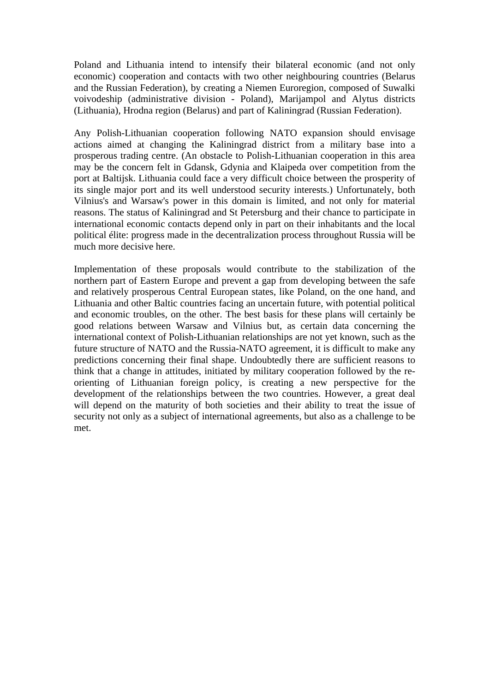Poland and Lithuania intend to intensify their bilateral economic (and not only economic) cooperation and contacts with two other neighbouring countries (Belarus and the Russian Federation), by creating a Niemen Euroregion, composed of Suwalki voivodeship (administrative division - Poland), Marijampol and Alytus districts (Lithuania), Hrodna region (Belarus) and part of Kaliningrad (Russian Federation).

Any Polish-Lithuanian cooperation following NATO expansion should envisage actions aimed at changing the Kaliningrad district from a military base into a prosperous trading centre. (An obstacle to Polish-Lithuanian cooperation in this area may be the concern felt in Gdansk, Gdynia and Klaipeda over competition from the port at Baltijsk. Lithuania could face a very difficult choice between the prosperity of its single major port and its well understood security interests.) Unfortunately, both Vilnius's and Warsaw's power in this domain is limited, and not only for material reasons. The status of Kaliningrad and St Petersburg and their chance to participate in international economic contacts depend only in part on their inhabitants and the local political élite: progress made in the decentralization process throughout Russia will be much more decisive here.

Implementation of these proposals would contribute to the stabilization of the northern part of Eastern Europe and prevent a gap from developing between the safe and relatively prosperous Central European states, like Poland, on the one hand, and Lithuania and other Baltic countries facing an uncertain future, with potential political and economic troubles, on the other. The best basis for these plans will certainly be good relations between Warsaw and Vilnius but, as certain data concerning the international context of Polish-Lithuanian relationships are not yet known, such as the future structure of NATO and the Russia-NATO agreement, it is difficult to make any predictions concerning their final shape. Undoubtedly there are sufficient reasons to think that a change in attitudes, initiated by military cooperation followed by the reorienting of Lithuanian foreign policy, is creating a new perspective for the development of the relationships between the two countries. However, a great deal will depend on the maturity of both societies and their ability to treat the issue of security not only as a subject of international agreements, but also as a challenge to be met.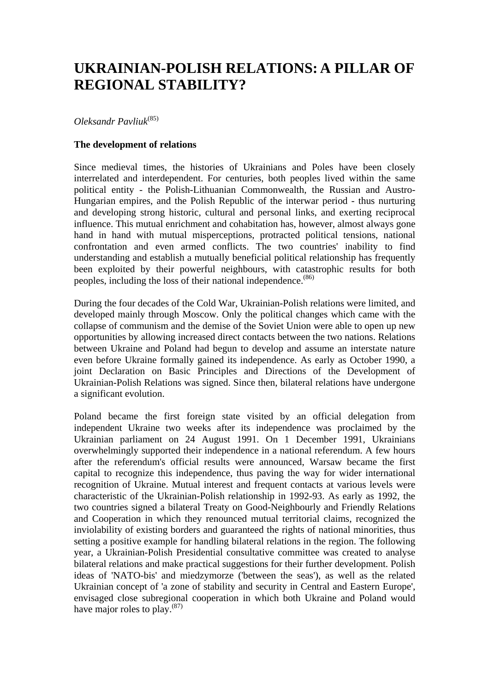## **UKRAINIAN-POLISH RELATIONS: A PILLAR OF REGIONAL STABILITY?**

*Oleksandr Pavliuk*(85)

#### **The development of relations**

Since medieval times, the histories of Ukrainians and Poles have been closely interrelated and interdependent. For centuries, both peoples lived within the same political entity - the Polish-Lithuanian Commonwealth, the Russian and Austro-Hungarian empires, and the Polish Republic of the interwar period - thus nurturing and developing strong historic, cultural and personal links, and exerting reciprocal influence. This mutual enrichment and cohabitation has, however, almost always gone hand in hand with mutual misperceptions, protracted political tensions, national confrontation and even armed conflicts. The two countries' inability to find understanding and establish a mutually beneficial political relationship has frequently been exploited by their powerful neighbours, with catastrophic results for both peoples, including the loss of their national independence. $(86)$ 

During the four decades of the Cold War, Ukrainian-Polish relations were limited, and developed mainly through Moscow. Only the political changes which came with the collapse of communism and the demise of the Soviet Union were able to open up new opportunities by allowing increased direct contacts between the two nations. Relations between Ukraine and Poland had begun to develop and assume an interstate nature even before Ukraine formally gained its independence. As early as October 1990, a joint Declaration on Basic Principles and Directions of the Development of Ukrainian-Polish Relations was signed. Since then, bilateral relations have undergone a significant evolution.

Poland became the first foreign state visited by an official delegation from independent Ukraine two weeks after its independence was proclaimed by the Ukrainian parliament on 24 August 1991. On 1 December 1991, Ukrainians overwhelmingly supported their independence in a national referendum. A few hours after the referendum's official results were announced, Warsaw became the first capital to recognize this independence, thus paving the way for wider international recognition of Ukraine. Mutual interest and frequent contacts at various levels were characteristic of the Ukrainian-Polish relationship in 1992-93. As early as 1992, the two countries signed a bilateral Treaty on Good-Neighbourly and Friendly Relations and Cooperation in which they renounced mutual territorial claims, recognized the inviolability of existing borders and guaranteed the rights of national minorities, thus setting a positive example for handling bilateral relations in the region. The following year, a Ukrainian-Polish Presidential consultative committee was created to analyse bilateral relations and make practical suggestions for their further development. Polish ideas of 'NATO-bis' and miedzymorze ('between the seas'), as well as the related Ukrainian concept of 'a zone of stability and security in Central and Eastern Europe', envisaged close subregional cooperation in which both Ukraine and Poland would have major roles to play.  $(87)$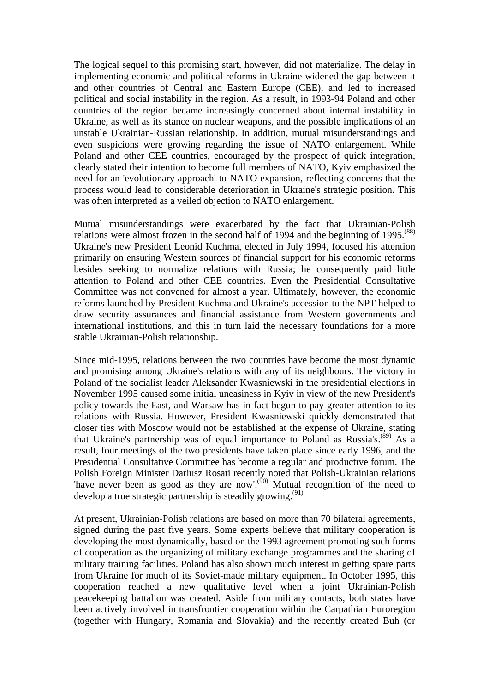The logical sequel to this promising start, however, did not materialize. The delay in implementing economic and political reforms in Ukraine widened the gap between it and other countries of Central and Eastern Europe (CEE), and led to increased political and social instability in the region. As a result, in 1993-94 Poland and other countries of the region became increasingly concerned about internal instability in Ukraine, as well as its stance on nuclear weapons, and the possible implications of an unstable Ukrainian-Russian relationship. In addition, mutual misunderstandings and even suspicions were growing regarding the issue of NATO enlargement. While Poland and other CEE countries, encouraged by the prospect of quick integration, clearly stated their intention to become full members of NATO, Kyiv emphasized the need for an 'evolutionary approach' to NATO expansion, reflecting concerns that the process would lead to considerable deterioration in Ukraine's strategic position. This was often interpreted as a veiled objection to NATO enlargement.

Mutual misunderstandings were exacerbated by the fact that Ukrainian-Polish relations were almost frozen in the second half of 1994 and the beginning of  $1995$ .<sup> $(88)$ </sup> Ukraine's new President Leonid Kuchma, elected in July 1994, focused his attention primarily on ensuring Western sources of financial support for his economic reforms besides seeking to normalize relations with Russia; he consequently paid little attention to Poland and other CEE countries. Even the Presidential Consultative Committee was not convened for almost a year. Ultimately, however, the economic reforms launched by President Kuchma and Ukraine's accession to the NPT helped to draw security assurances and financial assistance from Western governments and international institutions, and this in turn laid the necessary foundations for a more stable Ukrainian-Polish relationship.

Since mid-1995, relations between the two countries have become the most dynamic and promising among Ukraine's relations with any of its neighbours. The victory in Poland of the socialist leader Aleksander Kwasniewski in the presidential elections in November 1995 caused some initial uneasiness in Kyiv in view of the new President's policy towards the East, and Warsaw has in fact begun to pay greater attention to its relations with Russia. However, President Kwasniewski quickly demonstrated that closer ties with Moscow would not be established at the expense of Ukraine, stating that Ukraine's partnership was of equal importance to Poland as Russia's.<sup> $(89)$ </sup> As a result, four meetings of the two presidents have taken place since early 1996, and the Presidential Consultative Committee has become a regular and productive forum. The Polish Foreign Minister Dariusz Rosati recently noted that Polish-Ukrainian relations have never been as good as they are now'.<sup>(90)</sup> Mutual recognition of the need to develop a true strategic partnership is steadily growing.<sup>(91)</sup>

At present, Ukrainian-Polish relations are based on more than 70 bilateral agreements, signed during the past five years. Some experts believe that military cooperation is developing the most dynamically, based on the 1993 agreement promoting such forms of cooperation as the organizing of military exchange programmes and the sharing of military training facilities. Poland has also shown much interest in getting spare parts from Ukraine for much of its Soviet-made military equipment. In October 1995, this cooperation reached a new qualitative level when a joint Ukrainian-Polish peacekeeping battalion was created. Aside from military contacts, both states have been actively involved in transfrontier cooperation within the Carpathian Euroregion (together with Hungary, Romania and Slovakia) and the recently created Buh (or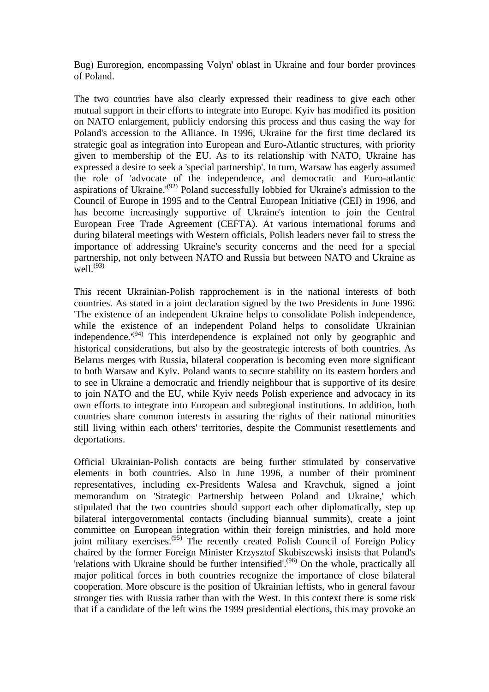Bug) Euroregion, encompassing Volyn' oblast in Ukraine and four border provinces of Poland.

The two countries have also clearly expressed their readiness to give each other mutual support in their efforts to integrate into Europe. Kyiv has modified its position on NATO enlargement, publicly endorsing this process and thus easing the way for Poland's accession to the Alliance. In 1996, Ukraine for the first time declared its strategic goal as integration into European and Euro-Atlantic structures, with priority given to membership of the EU. As to its relationship with NATO, Ukraine has expressed a desire to seek a 'special partnership'. In turn, Warsaw has eagerly assumed the role of 'advocate of the independence, and democratic and Euro-atlantic aspirations of Ukraine.'<sup>(92)</sup> Poland successfully lobbied for Ukraine's admission to the Council of Europe in 1995 and to the Central European Initiative (CEI) in 1996, and has become increasingly supportive of Ukraine's intention to join the Central European Free Trade Agreement (CEFTA). At various international forums and during bilateral meetings with Western officials, Polish leaders never fail to stress the importance of addressing Ukraine's security concerns and the need for a special partnership, not only between NATO and Russia but between NATO and Ukraine as well. $^{(93)}$ 

This recent Ukrainian-Polish rapprochement is in the national interests of both countries. As stated in a joint declaration signed by the two Presidents in June 1996: 'The existence of an independent Ukraine helps to consolidate Polish independence, while the existence of an independent Poland helps to consolidate Ukrainian independence.'(94) This interdependence is explained not only by geographic and historical considerations, but also by the geostrategic interests of both countries. As Belarus merges with Russia, bilateral cooperation is becoming even more significant to both Warsaw and Kyiv. Poland wants to secure stability on its eastern borders and to see in Ukraine a democratic and friendly neighbour that is supportive of its desire to join NATO and the EU, while Kyiv needs Polish experience and advocacy in its own efforts to integrate into European and subregional institutions. In addition, both countries share common interests in assuring the rights of their national minorities still living within each others' territories, despite the Communist resettlements and deportations.

Official Ukrainian-Polish contacts are being further stimulated by conservative elements in both countries. Also in June 1996, a number of their prominent representatives, including ex-Presidents Walesa and Kravchuk, signed a joint memorandum on 'Strategic Partnership between Poland and Ukraine,' which stipulated that the two countries should support each other diplomatically, step up bilateral intergovernmental contacts (including biannual summits), create a joint committee on European integration within their foreign ministries, and hold more joint military exercises.(95) The recently created Polish Council of Foreign Policy chaired by the former Foreign Minister Krzysztof Skubiszewski insists that Poland's 'relations with Ukraine should be further intensified'.<sup>(96)</sup> On the whole, practically all major political forces in both countries recognize the importance of close bilateral cooperation. More obscure is the position of Ukrainian leftists, who in general favour stronger ties with Russia rather than with the West. In this context there is some risk that if a candidate of the left wins the 1999 presidential elections, this may provoke an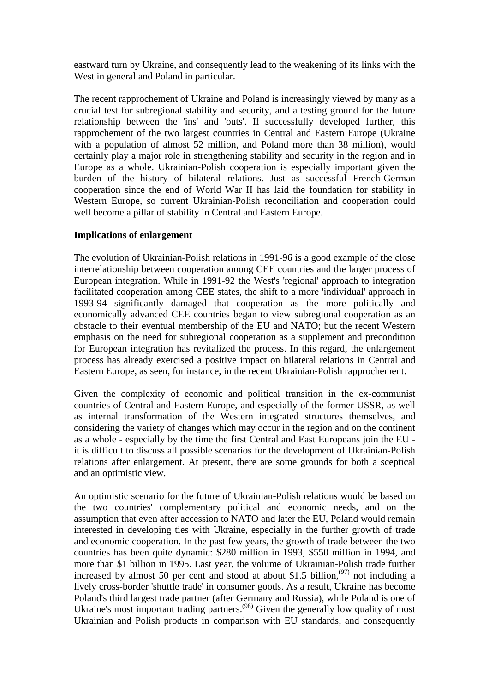eastward turn by Ukraine, and consequently lead to the weakening of its links with the West in general and Poland in particular.

The recent rapprochement of Ukraine and Poland is increasingly viewed by many as a crucial test for subregional stability and security, and a testing ground for the future relationship between the 'ins' and 'outs'. If successfully developed further, this rapprochement of the two largest countries in Central and Eastern Europe (Ukraine with a population of almost 52 million, and Poland more than 38 million), would certainly play a major role in strengthening stability and security in the region and in Europe as a whole. Ukrainian-Polish cooperation is especially important given the burden of the history of bilateral relations. Just as successful French-German cooperation since the end of World War II has laid the foundation for stability in Western Europe, so current Ukrainian-Polish reconciliation and cooperation could well become a pillar of stability in Central and Eastern Europe.

#### **Implications of enlargement**

The evolution of Ukrainian-Polish relations in 1991-96 is a good example of the close interrelationship between cooperation among CEE countries and the larger process of European integration. While in 1991-92 the West's 'regional' approach to integration facilitated cooperation among CEE states, the shift to a more 'individual' approach in 1993-94 significantly damaged that cooperation as the more politically and economically advanced CEE countries began to view subregional cooperation as an obstacle to their eventual membership of the EU and NATO; but the recent Western emphasis on the need for subregional cooperation as a supplement and precondition for European integration has revitalized the process. In this regard, the enlargement process has already exercised a positive impact on bilateral relations in Central and Eastern Europe, as seen, for instance, in the recent Ukrainian-Polish rapprochement.

Given the complexity of economic and political transition in the ex-communist countries of Central and Eastern Europe, and especially of the former USSR, as well as internal transformation of the Western integrated structures themselves, and considering the variety of changes which may occur in the region and on the continent as a whole - especially by the time the first Central and East Europeans join the EU it is difficult to discuss all possible scenarios for the development of Ukrainian-Polish relations after enlargement. At present, there are some grounds for both a sceptical and an optimistic view.

An optimistic scenario for the future of Ukrainian-Polish relations would be based on the two countries' complementary political and economic needs, and on the assumption that even after accession to NATO and later the EU, Poland would remain interested in developing ties with Ukraine, especially in the further growth of trade and economic cooperation. In the past few years, the growth of trade between the two countries has been quite dynamic: \$280 million in 1993, \$550 million in 1994, and more than \$1 billion in 1995. Last year, the volume of Ukrainian-Polish trade further increased by almost 50 per cent and stood at about \$1.5 billion,<sup> $(97)$ </sup> not including a lively cross-border 'shuttle trade' in consumer goods. As a result, Ukraine has become Poland's third largest trade partner (after Germany and Russia), while Poland is one of Ukraine's most important trading partners.<sup>(98)</sup> Given the generally low quality of most Ukrainian and Polish products in comparison with EU standards, and consequently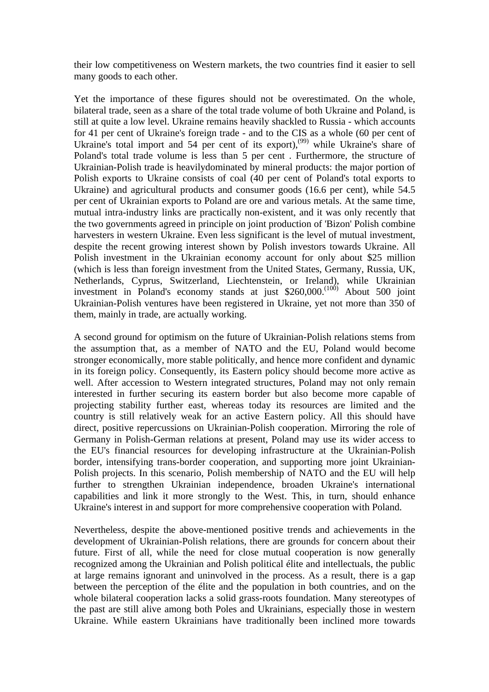their low competitiveness on Western markets, the two countries find it easier to sell many goods to each other.

Yet the importance of these figures should not be overestimated. On the whole, bilateral trade, seen as a share of the total trade volume of both Ukraine and Poland, is still at quite a low level. Ukraine remains heavily shackled to Russia - which accounts for 41 per cent of Ukraine's foreign trade - and to the CIS as a whole (60 per cent of Ukraine's total import and 54 per cent of its export),<sup>(99)</sup> while Ukraine's share of Poland's total trade volume is less than 5 per cent . Furthermore, the structure of Ukrainian-Polish trade is heavilydominated by mineral products: the major portion of Polish exports to Ukraine consists of coal (40 per cent of Poland's total exports to Ukraine) and agricultural products and consumer goods (16.6 per cent), while 54.5 per cent of Ukrainian exports to Poland are ore and various metals. At the same time, mutual intra-industry links are practically non-existent, and it was only recently that the two governments agreed in principle on joint production of 'Bizon' Polish combine harvesters in western Ukraine. Even less significant is the level of mutual investment, despite the recent growing interest shown by Polish investors towards Ukraine. All Polish investment in the Ukrainian economy account for only about \$25 million (which is less than foreign investment from the United States, Germany, Russia, UK, Netherlands, Cyprus, Switzerland, Liechtenstein, or Ireland), while Ukrainian investment in Poland's economy stands at just \$260,000.<sup>(100)</sup> About 500 joint Ukrainian-Polish ventures have been registered in Ukraine, yet not more than 350 of them, mainly in trade, are actually working.

A second ground for optimism on the future of Ukrainian-Polish relations stems from the assumption that, as a member of NATO and the EU, Poland would become stronger economically, more stable politically, and hence more confident and dynamic in its foreign policy. Consequently, its Eastern policy should become more active as well. After accession to Western integrated structures, Poland may not only remain interested in further securing its eastern border but also become more capable of projecting stability further east, whereas today its resources are limited and the country is still relatively weak for an active Eastern policy. All this should have direct, positive repercussions on Ukrainian-Polish cooperation. Mirroring the role of Germany in Polish-German relations at present, Poland may use its wider access to the EU's financial resources for developing infrastructure at the Ukrainian-Polish border, intensifying trans-border cooperation, and supporting more joint Ukrainian-Polish projects. In this scenario, Polish membership of NATO and the EU will help further to strengthen Ukrainian independence, broaden Ukraine's international capabilities and link it more strongly to the West. This, in turn, should enhance Ukraine's interest in and support for more comprehensive cooperation with Poland.

Nevertheless, despite the above-mentioned positive trends and achievements in the development of Ukrainian-Polish relations, there are grounds for concern about their future. First of all, while the need for close mutual cooperation is now generally recognized among the Ukrainian and Polish political élite and intellectuals, the public at large remains ignorant and uninvolved in the process. As a result, there is a gap between the perception of the élite and the population in both countries, and on the whole bilateral cooperation lacks a solid grass-roots foundation. Many stereotypes of the past are still alive among both Poles and Ukrainians, especially those in western Ukraine. While eastern Ukrainians have traditionally been inclined more towards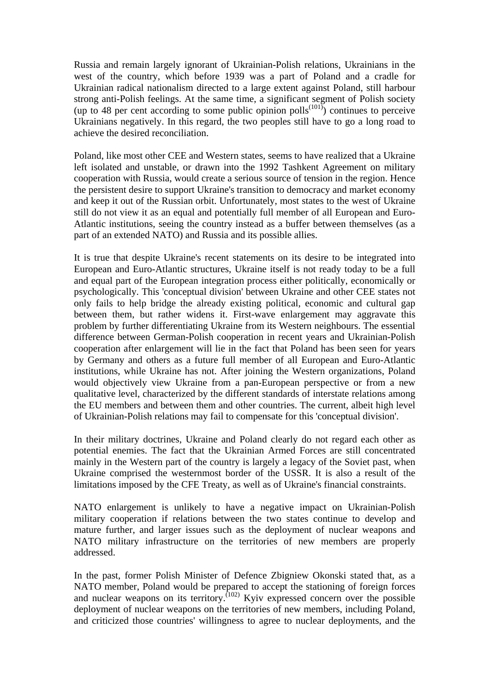Russia and remain largely ignorant of Ukrainian-Polish relations, Ukrainians in the west of the country, which before 1939 was a part of Poland and a cradle for Ukrainian radical nationalism directed to a large extent against Poland, still harbour strong anti-Polish feelings. At the same time, a significant segment of Polish society (up to 48 per cent according to some public opinion polls<sup> $(101)$ </sup>) continues to perceive Ukrainians negatively. In this regard, the two peoples still have to go a long road to achieve the desired reconciliation.

Poland, like most other CEE and Western states, seems to have realized that a Ukraine left isolated and unstable, or drawn into the 1992 Tashkent Agreement on military cooperation with Russia, would create a serious source of tension in the region. Hence the persistent desire to support Ukraine's transition to democracy and market economy and keep it out of the Russian orbit. Unfortunately, most states to the west of Ukraine still do not view it as an equal and potentially full member of all European and Euro-Atlantic institutions, seeing the country instead as a buffer between themselves (as a part of an extended NATO) and Russia and its possible allies.

It is true that despite Ukraine's recent statements on its desire to be integrated into European and Euro-Atlantic structures, Ukraine itself is not ready today to be a full and equal part of the European integration process either politically, economically or psychologically. This 'conceptual division' between Ukraine and other CEE states not only fails to help bridge the already existing political, economic and cultural gap between them, but rather widens it. First-wave enlargement may aggravate this problem by further differentiating Ukraine from its Western neighbours. The essential difference between German-Polish cooperation in recent years and Ukrainian-Polish cooperation after enlargement will lie in the fact that Poland has been seen for years by Germany and others as a future full member of all European and Euro-Atlantic institutions, while Ukraine has not. After joining the Western organizations, Poland would objectively view Ukraine from a pan-European perspective or from a new qualitative level, characterized by the different standards of interstate relations among the EU members and between them and other countries. The current, albeit high level of Ukrainian-Polish relations may fail to compensate for this 'conceptual division'.

In their military doctrines, Ukraine and Poland clearly do not regard each other as potential enemies. The fact that the Ukrainian Armed Forces are still concentrated mainly in the Western part of the country is largely a legacy of the Soviet past, when Ukraine comprised the westernmost border of the USSR. It is also a result of the limitations imposed by the CFE Treaty, as well as of Ukraine's financial constraints.

NATO enlargement is unlikely to have a negative impact on Ukrainian-Polish military cooperation if relations between the two states continue to develop and mature further, and larger issues such as the deployment of nuclear weapons and NATO military infrastructure on the territories of new members are properly addressed.

In the past, former Polish Minister of Defence Zbigniew Okonski stated that, as a NATO member, Poland would be prepared to accept the stationing of foreign forces and nuclear weapons on its territory.<sup> $(102)$ </sup> Kyiv expressed concern over the possible deployment of nuclear weapons on the territories of new members, including Poland, and criticized those countries' willingness to agree to nuclear deployments, and the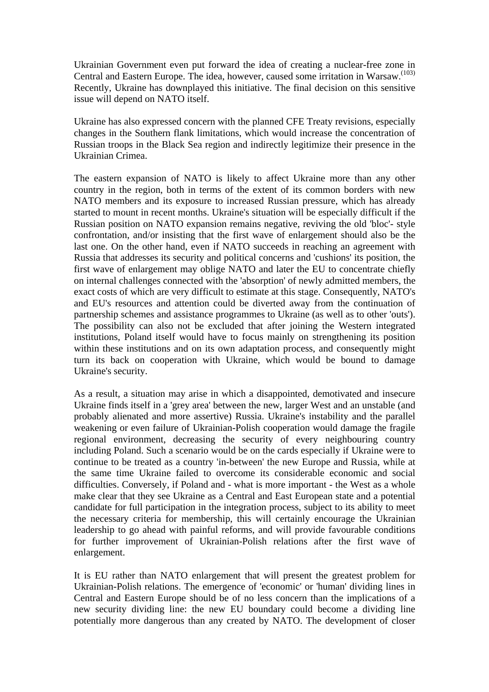Ukrainian Government even put forward the idea of creating a nuclear-free zone in Central and Eastern Europe. The idea, however, caused some irritation in Warsaw.<sup>(103)</sup> Recently, Ukraine has downplayed this initiative. The final decision on this sensitive issue will depend on NATO itself.

Ukraine has also expressed concern with the planned CFE Treaty revisions, especially changes in the Southern flank limitations, which would increase the concentration of Russian troops in the Black Sea region and indirectly legitimize their presence in the Ukrainian Crimea.

The eastern expansion of NATO is likely to affect Ukraine more than any other country in the region, both in terms of the extent of its common borders with new NATO members and its exposure to increased Russian pressure, which has already started to mount in recent months. Ukraine's situation will be especially difficult if the Russian position on NATO expansion remains negative, reviving the old 'bloc'- style confrontation, and/or insisting that the first wave of enlargement should also be the last one. On the other hand, even if NATO succeeds in reaching an agreement with Russia that addresses its security and political concerns and 'cushions' its position, the first wave of enlargement may oblige NATO and later the EU to concentrate chiefly on internal challenges connected with the 'absorption' of newly admitted members, the exact costs of which are very difficult to estimate at this stage. Consequently, NATO's and EU's resources and attention could be diverted away from the continuation of partnership schemes and assistance programmes to Ukraine (as well as to other 'outs'). The possibility can also not be excluded that after joining the Western integrated institutions, Poland itself would have to focus mainly on strengthening its position within these institutions and on its own adaptation process, and consequently might turn its back on cooperation with Ukraine, which would be bound to damage Ukraine's security.

As a result, a situation may arise in which a disappointed, demotivated and insecure Ukraine finds itself in a 'grey area' between the new, larger West and an unstable (and probably alienated and more assertive) Russia. Ukraine's instability and the parallel weakening or even failure of Ukrainian-Polish cooperation would damage the fragile regional environment, decreasing the security of every neighbouring country including Poland. Such a scenario would be on the cards especially if Ukraine were to continue to be treated as a country 'in-between' the new Europe and Russia, while at the same time Ukraine failed to overcome its considerable economic and social difficulties. Conversely, if Poland and - what is more important - the West as a whole make clear that they see Ukraine as a Central and East European state and a potential candidate for full participation in the integration process, subject to its ability to meet the necessary criteria for membership, this will certainly encourage the Ukrainian leadership to go ahead with painful reforms, and will provide favourable conditions for further improvement of Ukrainian-Polish relations after the first wave of enlargement.

It is EU rather than NATO enlargement that will present the greatest problem for Ukrainian-Polish relations. The emergence of 'economic' or 'human' dividing lines in Central and Eastern Europe should be of no less concern than the implications of a new security dividing line: the new EU boundary could become a dividing line potentially more dangerous than any created by NATO. The development of closer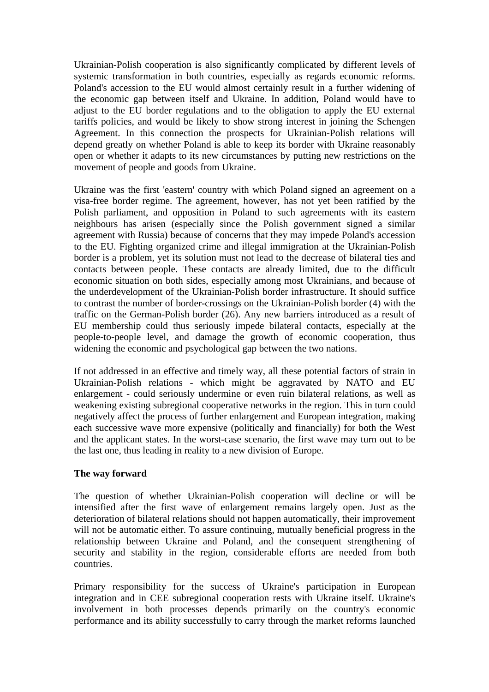Ukrainian-Polish cooperation is also significantly complicated by different levels of systemic transformation in both countries, especially as regards economic reforms. Poland's accession to the EU would almost certainly result in a further widening of the economic gap between itself and Ukraine. In addition, Poland would have to adjust to the EU border regulations and to the obligation to apply the EU external tariffs policies, and would be likely to show strong interest in joining the Schengen Agreement. In this connection the prospects for Ukrainian-Polish relations will depend greatly on whether Poland is able to keep its border with Ukraine reasonably open or whether it adapts to its new circumstances by putting new restrictions on the movement of people and goods from Ukraine.

Ukraine was the first 'eastern' country with which Poland signed an agreement on a visa-free border regime. The agreement, however, has not yet been ratified by the Polish parliament, and opposition in Poland to such agreements with its eastern neighbours has arisen (especially since the Polish government signed a similar agreement with Russia) because of concerns that they may impede Poland's accession to the EU. Fighting organized crime and illegal immigration at the Ukrainian-Polish border is a problem, yet its solution must not lead to the decrease of bilateral ties and contacts between people. These contacts are already limited, due to the difficult economic situation on both sides, especially among most Ukrainians, and because of the underdevelopment of the Ukrainian-Polish border infrastructure. It should suffice to contrast the number of border-crossings on the Ukrainian-Polish border (4) with the traffic on the German-Polish border (26). Any new barriers introduced as a result of EU membership could thus seriously impede bilateral contacts, especially at the people-to-people level, and damage the growth of economic cooperation, thus widening the economic and psychological gap between the two nations.

If not addressed in an effective and timely way, all these potential factors of strain in Ukrainian-Polish relations - which might be aggravated by NATO and EU enlargement - could seriously undermine or even ruin bilateral relations, as well as weakening existing subregional cooperative networks in the region. This in turn could negatively affect the process of further enlargement and European integration, making each successive wave more expensive (politically and financially) for both the West and the applicant states. In the worst-case scenario, the first wave may turn out to be the last one, thus leading in reality to a new division of Europe.

#### **The way forward**

The question of whether Ukrainian-Polish cooperation will decline or will be intensified after the first wave of enlargement remains largely open. Just as the deterioration of bilateral relations should not happen automatically, their improvement will not be automatic either. To assure continuing, mutually beneficial progress in the relationship between Ukraine and Poland, and the consequent strengthening of security and stability in the region, considerable efforts are needed from both countries.

Primary responsibility for the success of Ukraine's participation in European integration and in CEE subregional cooperation rests with Ukraine itself. Ukraine's involvement in both processes depends primarily on the country's economic performance and its ability successfully to carry through the market reforms launched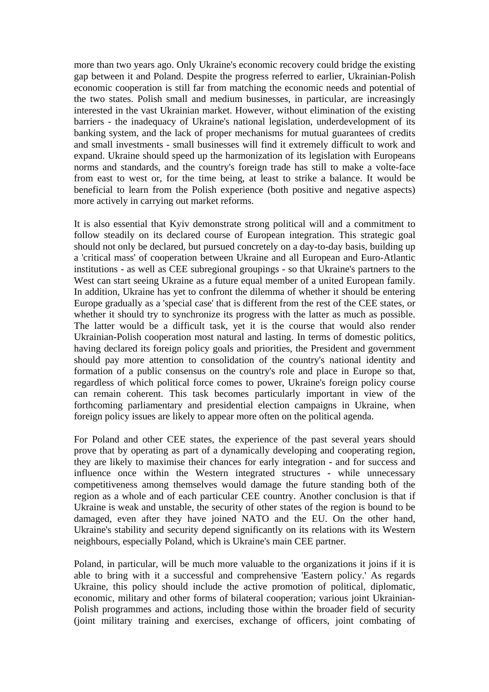more than two years ago. Only Ukraine's economic recovery could bridge the existing gap between it and Poland. Despite the progress referred to earlier, Ukrainian-Polish economic cooperation is still far from matching the economic needs and potential of the two states. Polish small and medium businesses, in particular, are increasingly interested in the vast Ukrainian market. However, without elimination of the existing barriers - the inadequacy of Ukraine's national legislation, underdevelopment of its banking system, and the lack of proper mechanisms for mutual guarantees of credits and small investments - small businesses will find it extremely difficult to work and expand. Ukraine should speed up the harmonization of its legislation with Europeans norms and standards, and the country's foreign trade has still to make a volte-face from east to west or, for the time being, at least to strike a balance. It would be beneficial to learn from the Polish experience (both positive and negative aspects) more actively in carrying out market reforms.

It is also essential that Kyiv demonstrate strong political will and a commitment to follow steadily on its declared course of European integration. This strategic goal should not only be declared, but pursued concretely on a day-to-day basis, building up a 'critical mass' of cooperation between Ukraine and all European and Euro-Atlantic institutions - as well as CEE subregional groupings - so that Ukraine's partners to the West can start seeing Ukraine as a future equal member of a united European family. In addition, Ukraine has yet to confront the dilemma of whether it should be entering Europe gradually as a 'special case' that is different from the rest of the CEE states, or whether it should try to synchronize its progress with the latter as much as possible. The latter would be a difficult task, yet it is the course that would also render Ukrainian-Polish cooperation most natural and lasting. In terms of domestic politics, having declared its foreign policy goals and priorities, the President and government should pay more attention to consolidation of the country's national identity and formation of a public consensus on the country's role and place in Europe so that, regardless of which political force comes to power, Ukraine's foreign policy course can remain coherent. This task becomes particularly important in view of the forthcoming parliamentary and presidential election campaigns in Ukraine, when foreign policy issues are likely to appear more often on the political agenda.

For Poland and other CEE states, the experience of the past several years should prove that by operating as part of a dynamically developing and cooperating region, they are likely to maximise their chances for early integration - and for success and influence once within the Western integrated structures - while unnecessary competitiveness among themselves would damage the future standing both of the region as a whole and of each particular CEE country. Another conclusion is that if Ukraine is weak and unstable, the security of other states of the region is bound to be damaged, even after they have joined NATO and the EU. On the other hand, Ukraine's stability and security depend significantly on its relations with its Western neighbours, especially Poland, which is Ukraine's main CEE partner.

Poland, in particular, will be much more valuable to the organizations it joins if it is able to bring with it a successful and comprehensive 'Eastern policy.' As regards Ukraine, this policy should include the active promotion of political, diplomatic, economic, military and other forms of bilateral cooperation; various joint Ukrainian-Polish programmes and actions, including those within the broader field of security (joint military training and exercises, exchange of officers, joint combating of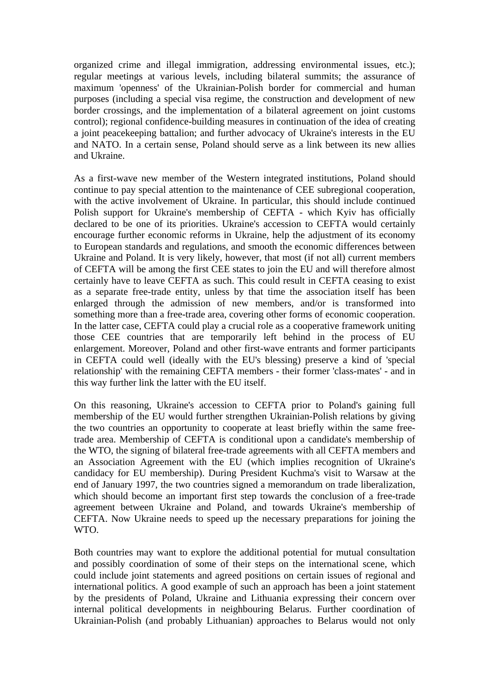organized crime and illegal immigration, addressing environmental issues, etc.); regular meetings at various levels, including bilateral summits; the assurance of maximum 'openness' of the Ukrainian-Polish border for commercial and human purposes (including a special visa regime, the construction and development of new border crossings, and the implementation of a bilateral agreement on joint customs control); regional confidence-building measures in continuation of the idea of creating a joint peacekeeping battalion; and further advocacy of Ukraine's interests in the EU and NATO. In a certain sense, Poland should serve as a link between its new allies and Ukraine.

As a first-wave new member of the Western integrated institutions, Poland should continue to pay special attention to the maintenance of CEE subregional cooperation, with the active involvement of Ukraine. In particular, this should include continued Polish support for Ukraine's membership of CEFTA - which Kyiv has officially declared to be one of its priorities. Ukraine's accession to CEFTA would certainly encourage further economic reforms in Ukraine, help the adjustment of its economy to European standards and regulations, and smooth the economic differences between Ukraine and Poland. It is very likely, however, that most (if not all) current members of CEFTA will be among the first CEE states to join the EU and will therefore almost certainly have to leave CEFTA as such. This could result in CEFTA ceasing to exist as a separate free-trade entity, unless by that time the association itself has been enlarged through the admission of new members, and/or is transformed into something more than a free-trade area, covering other forms of economic cooperation. In the latter case, CEFTA could play a crucial role as a cooperative framework uniting those CEE countries that are temporarily left behind in the process of EU enlargement. Moreover, Poland and other first-wave entrants and former participants in CEFTA could well (ideally with the EU's blessing) preserve a kind of 'special relationship' with the remaining CEFTA members - their former 'class-mates' - and in this way further link the latter with the EU itself.

On this reasoning, Ukraine's accession to CEFTA prior to Poland's gaining full membership of the EU would further strengthen Ukrainian-Polish relations by giving the two countries an opportunity to cooperate at least briefly within the same freetrade area. Membership of CEFTA is conditional upon a candidate's membership of the WTO, the signing of bilateral free-trade agreements with all CEFTA members and an Association Agreement with the EU (which implies recognition of Ukraine's candidacy for EU membership). During President Kuchma's visit to Warsaw at the end of January 1997, the two countries signed a memorandum on trade liberalization, which should become an important first step towards the conclusion of a free-trade agreement between Ukraine and Poland, and towards Ukraine's membership of CEFTA. Now Ukraine needs to speed up the necessary preparations for joining the WTO.

Both countries may want to explore the additional potential for mutual consultation and possibly coordination of some of their steps on the international scene, which could include joint statements and agreed positions on certain issues of regional and international politics. A good example of such an approach has been a joint statement by the presidents of Poland, Ukraine and Lithuania expressing their concern over internal political developments in neighbouring Belarus. Further coordination of Ukrainian-Polish (and probably Lithuanian) approaches to Belarus would not only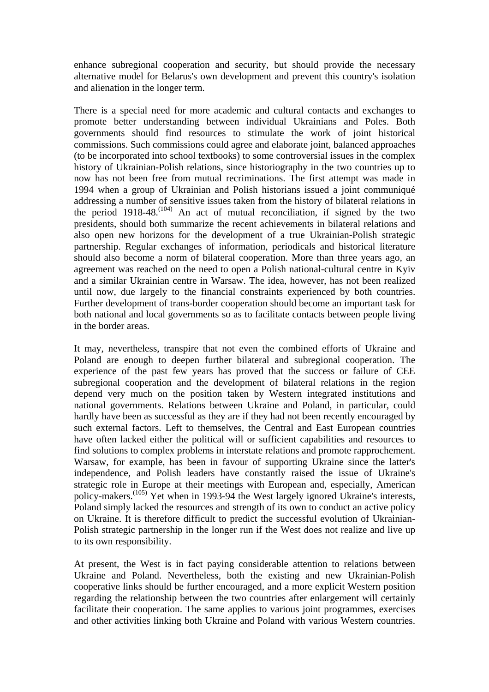enhance subregional cooperation and security, but should provide the necessary alternative model for Belarus's own development and prevent this country's isolation and alienation in the longer term.

There is a special need for more academic and cultural contacts and exchanges to promote better understanding between individual Ukrainians and Poles. Both governments should find resources to stimulate the work of joint historical commissions. Such commissions could agree and elaborate joint, balanced approaches (to be incorporated into school textbooks) to some controversial issues in the complex history of Ukrainian-Polish relations, since historiography in the two countries up to now has not been free from mutual recriminations. The first attempt was made in 1994 when a group of Ukrainian and Polish historians issued a joint communiqué addressing a number of sensitive issues taken from the history of bilateral relations in the period  $1918-48$ .<sup>(104)</sup> An act of mutual reconciliation, if signed by the two presidents, should both summarize the recent achievements in bilateral relations and also open new horizons for the development of a true Ukrainian-Polish strategic partnership. Regular exchanges of information, periodicals and historical literature should also become a norm of bilateral cooperation. More than three years ago, an agreement was reached on the need to open a Polish national-cultural centre in Kyiv and a similar Ukrainian centre in Warsaw. The idea, however, has not been realized until now, due largely to the financial constraints experienced by both countries. Further development of trans-border cooperation should become an important task for both national and local governments so as to facilitate contacts between people living in the border areas.

It may, nevertheless, transpire that not even the combined efforts of Ukraine and Poland are enough to deepen further bilateral and subregional cooperation. The experience of the past few years has proved that the success or failure of CEE subregional cooperation and the development of bilateral relations in the region depend very much on the position taken by Western integrated institutions and national governments. Relations between Ukraine and Poland, in particular, could hardly have been as successful as they are if they had not been recently encouraged by such external factors. Left to themselves, the Central and East European countries have often lacked either the political will or sufficient capabilities and resources to find solutions to complex problems in interstate relations and promote rapprochement. Warsaw, for example, has been in favour of supporting Ukraine since the latter's independence, and Polish leaders have constantly raised the issue of Ukraine's strategic role in Europe at their meetings with European and, especially, American policy-makers.(105) Yet when in 1993-94 the West largely ignored Ukraine's interests, Poland simply lacked the resources and strength of its own to conduct an active policy on Ukraine. It is therefore difficult to predict the successful evolution of Ukrainian-Polish strategic partnership in the longer run if the West does not realize and live up to its own responsibility.

At present, the West is in fact paying considerable attention to relations between Ukraine and Poland. Nevertheless, both the existing and new Ukrainian-Polish cooperative links should be further encouraged, and a more explicit Western position regarding the relationship between the two countries after enlargement will certainly facilitate their cooperation. The same applies to various joint programmes, exercises and other activities linking both Ukraine and Poland with various Western countries.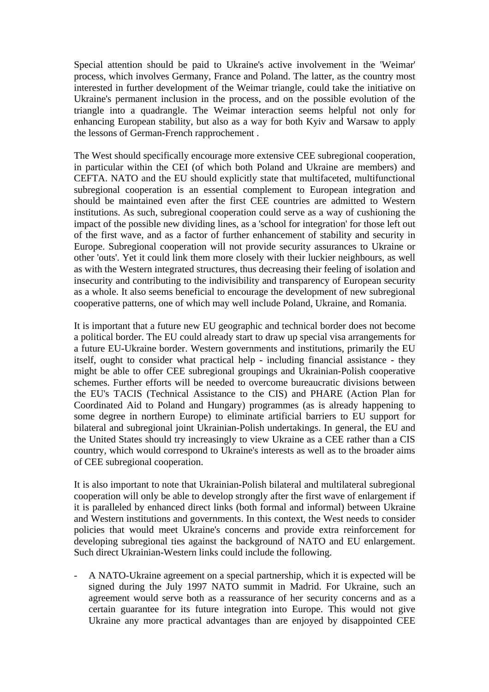Special attention should be paid to Ukraine's active involvement in the 'Weimar' process, which involves Germany, France and Poland. The latter, as the country most interested in further development of the Weimar triangle, could take the initiative on Ukraine's permanent inclusion in the process, and on the possible evolution of the triangle into a quadrangle. The Weimar interaction seems helpful not only for enhancing European stability, but also as a way for both Kyiv and Warsaw to apply the lessons of German-French rapprochement .

The West should specifically encourage more extensive CEE subregional cooperation, in particular within the CEI (of which both Poland and Ukraine are members) and CEFTA. NATO and the EU should explicitly state that multifaceted, multifunctional subregional cooperation is an essential complement to European integration and should be maintained even after the first CEE countries are admitted to Western institutions. As such, subregional cooperation could serve as a way of cushioning the impact of the possible new dividing lines, as a 'school for integration' for those left out of the first wave, and as a factor of further enhancement of stability and security in Europe. Subregional cooperation will not provide security assurances to Ukraine or other 'outs'. Yet it could link them more closely with their luckier neighbours, as well as with the Western integrated structures, thus decreasing their feeling of isolation and insecurity and contributing to the indivisibility and transparency of European security as a whole. It also seems beneficial to encourage the development of new subregional cooperative patterns, one of which may well include Poland, Ukraine, and Romania.

It is important that a future new EU geographic and technical border does not become a political border. The EU could already start to draw up special visa arrangements for a future EU-Ukraine border. Western governments and institutions, primarily the EU itself, ought to consider what practical help - including financial assistance - they might be able to offer CEE subregional groupings and Ukrainian-Polish cooperative schemes. Further efforts will be needed to overcome bureaucratic divisions between the EU's TACIS (Technical Assistance to the CIS) and PHARE (Action Plan for Coordinated Aid to Poland and Hungary) programmes (as is already happening to some degree in northern Europe) to eliminate artificial barriers to EU support for bilateral and subregional joint Ukrainian-Polish undertakings. In general, the EU and the United States should try increasingly to view Ukraine as a CEE rather than a CIS country, which would correspond to Ukraine's interests as well as to the broader aims of CEE subregional cooperation.

It is also important to note that Ukrainian-Polish bilateral and multilateral subregional cooperation will only be able to develop strongly after the first wave of enlargement if it is paralleled by enhanced direct links (both formal and informal) between Ukraine and Western institutions and governments. In this context, the West needs to consider policies that would meet Ukraine's concerns and provide extra reinforcement for developing subregional ties against the background of NATO and EU enlargement. Such direct Ukrainian-Western links could include the following.

- A NATO-Ukraine agreement on a special partnership, which it is expected will be signed during the July 1997 NATO summit in Madrid. For Ukraine, such an agreement would serve both as a reassurance of her security concerns and as a certain guarantee for its future integration into Europe. This would not give Ukraine any more practical advantages than are enjoyed by disappointed CEE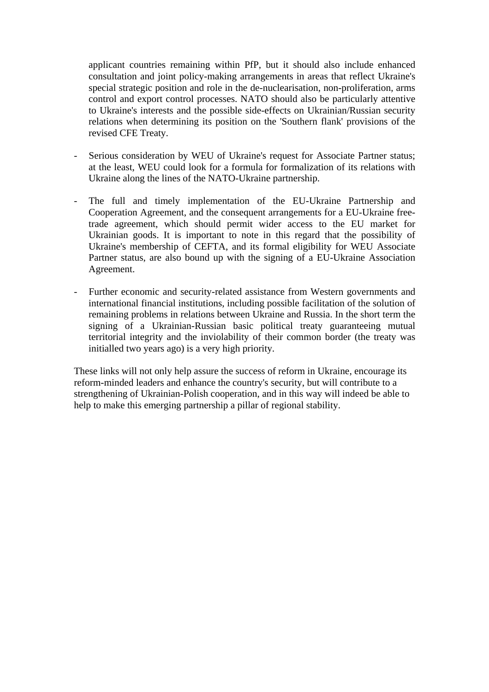applicant countries remaining within PfP, but it should also include enhanced consultation and joint policy-making arrangements in areas that reflect Ukraine's special strategic position and role in the de-nuclearisation, non-proliferation, arms control and export control processes. NATO should also be particularly attentive to Ukraine's interests and the possible side-effects on Ukrainian/Russian security relations when determining its position on the 'Southern flank' provisions of the revised CFE Treaty.

- Serious consideration by WEU of Ukraine's request for Associate Partner status; at the least, WEU could look for a formula for formalization of its relations with Ukraine along the lines of the NATO-Ukraine partnership.
- The full and timely implementation of the EU-Ukraine Partnership and Cooperation Agreement, and the consequent arrangements for a EU-Ukraine freetrade agreement, which should permit wider access to the EU market for Ukrainian goods. It is important to note in this regard that the possibility of Ukraine's membership of CEFTA, and its formal eligibility for WEU Associate Partner status, are also bound up with the signing of a EU-Ukraine Association Agreement.
- Further economic and security-related assistance from Western governments and international financial institutions, including possible facilitation of the solution of remaining problems in relations between Ukraine and Russia. In the short term the signing of a Ukrainian-Russian basic political treaty guaranteeing mutual territorial integrity and the inviolability of their common border (the treaty was initialled two years ago) is a very high priority.

These links will not only help assure the success of reform in Ukraine, encourage its reform-minded leaders and enhance the country's security, but will contribute to a strengthening of Ukrainian-Polish cooperation, and in this way will indeed be able to help to make this emerging partnership a pillar of regional stability.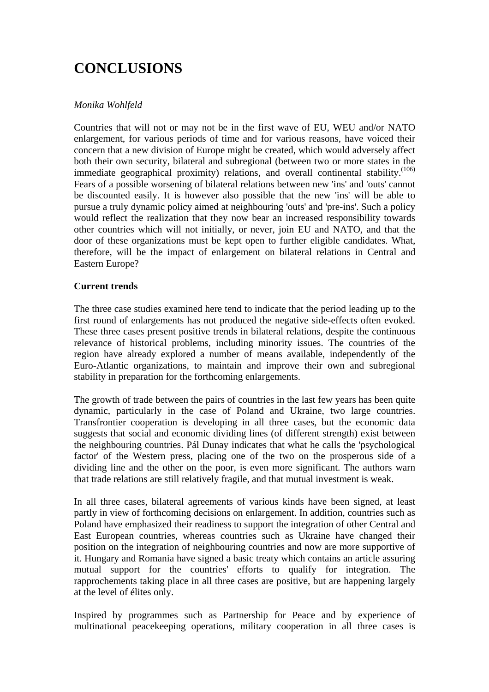## **CONCLUSIONS**

#### *Monika Wohlfeld*

Countries that will not or may not be in the first wave of EU, WEU and/or NATO enlargement, for various periods of time and for various reasons, have voiced their concern that a new division of Europe might be created, which would adversely affect both their own security, bilateral and subregional (between two or more states in the immediate geographical proximity) relations, and overall continental stability.<sup>(106)</sup> Fears of a possible worsening of bilateral relations between new 'ins' and 'outs' cannot be discounted easily. It is however also possible that the new 'ins' will be able to pursue a truly dynamic policy aimed at neighbouring 'outs' and 'pre-ins'. Such a policy would reflect the realization that they now bear an increased responsibility towards other countries which will not initially, or never, join EU and NATO, and that the door of these organizations must be kept open to further eligible candidates. What, therefore, will be the impact of enlargement on bilateral relations in Central and Eastern Europe?

#### **Current trends**

The three case studies examined here tend to indicate that the period leading up to the first round of enlargements has not produced the negative side-effects often evoked. These three cases present positive trends in bilateral relations, despite the continuous relevance of historical problems, including minority issues. The countries of the region have already explored a number of means available, independently of the Euro-Atlantic organizations, to maintain and improve their own and subregional stability in preparation for the forthcoming enlargements.

The growth of trade between the pairs of countries in the last few years has been quite dynamic, particularly in the case of Poland and Ukraine, two large countries. Transfrontier cooperation is developing in all three cases, but the economic data suggests that social and economic dividing lines (of different strength) exist between the neighbouring countries. Pál Dunay indicates that what he calls the 'psychological factor' of the Western press, placing one of the two on the prosperous side of a dividing line and the other on the poor, is even more significant. The authors warn that trade relations are still relatively fragile, and that mutual investment is weak.

In all three cases, bilateral agreements of various kinds have been signed, at least partly in view of forthcoming decisions on enlargement. In addition, countries such as Poland have emphasized their readiness to support the integration of other Central and East European countries, whereas countries such as Ukraine have changed their position on the integration of neighbouring countries and now are more supportive of it. Hungary and Romania have signed a basic treaty which contains an article assuring mutual support for the countries' efforts to qualify for integration. The rapprochements taking place in all three cases are positive, but are happening largely at the level of élites only.

Inspired by programmes such as Partnership for Peace and by experience of multinational peacekeeping operations, military cooperation in all three cases is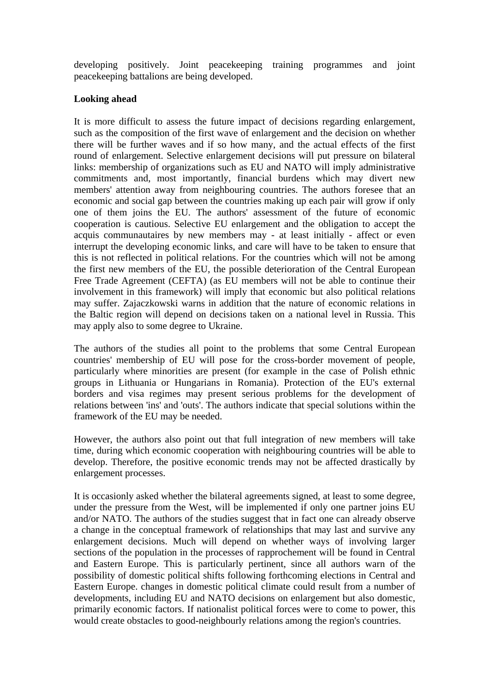developing positively. Joint peacekeeping training programmes and joint peacekeeping battalions are being developed.

#### **Looking ahead**

It is more difficult to assess the future impact of decisions regarding enlargement, such as the composition of the first wave of enlargement and the decision on whether there will be further waves and if so how many, and the actual effects of the first round of enlargement. Selective enlargement decisions will put pressure on bilateral links: membership of organizations such as EU and NATO will imply administrative commitments and, most importantly, financial burdens which may divert new members' attention away from neighbouring countries. The authors foresee that an economic and social gap between the countries making up each pair will grow if only one of them joins the EU. The authors' assessment of the future of economic cooperation is cautious. Selective EU enlargement and the obligation to accept the acquis communautaires by new members may - at least initially - affect or even interrupt the developing economic links, and care will have to be taken to ensure that this is not reflected in political relations. For the countries which will not be among the first new members of the EU, the possible deterioration of the Central European Free Trade Agreement (CEFTA) (as EU members will not be able to continue their involvement in this framework) will imply that economic but also political relations may suffer. Zajaczkowski warns in addition that the nature of economic relations in the Baltic region will depend on decisions taken on a national level in Russia. This may apply also to some degree to Ukraine.

The authors of the studies all point to the problems that some Central European countries' membership of EU will pose for the cross-border movement of people, particularly where minorities are present (for example in the case of Polish ethnic groups in Lithuania or Hungarians in Romania). Protection of the EU's external borders and visa regimes may present serious problems for the development of relations between 'ins' and 'outs'. The authors indicate that special solutions within the framework of the EU may be needed.

However, the authors also point out that full integration of new members will take time, during which economic cooperation with neighbouring countries will be able to develop. Therefore, the positive economic trends may not be affected drastically by enlargement processes.

It is occasionly asked whether the bilateral agreements signed, at least to some degree, under the pressure from the West, will be implemented if only one partner joins EU and/or NATO. The authors of the studies suggest that in fact one can already observe a change in the conceptual framework of relationships that may last and survive any enlargement decisions. Much will depend on whether ways of involving larger sections of the population in the processes of rapprochement will be found in Central and Eastern Europe. This is particularly pertinent, since all authors warn of the possibility of domestic political shifts following forthcoming elections in Central and Eastern Europe. changes in domestic political climate could result from a number of developments, including EU and NATO decisions on enlargement but also domestic, primarily economic factors. If nationalist political forces were to come to power, this would create obstacles to good-neighbourly relations among the region's countries.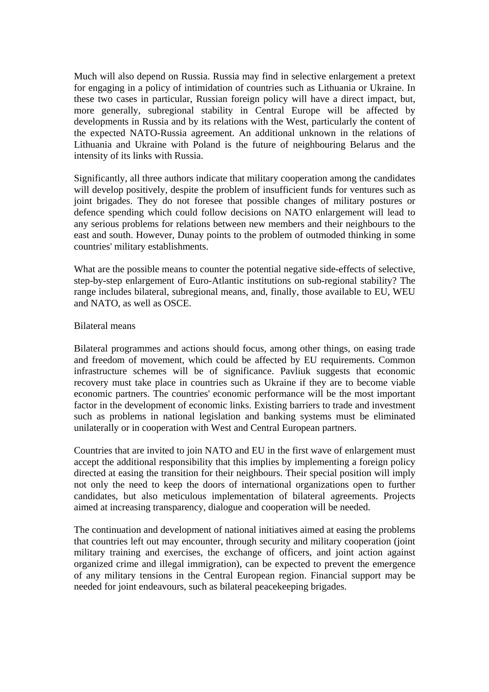Much will also depend on Russia. Russia may find in selective enlargement a pretext for engaging in a policy of intimidation of countries such as Lithuania or Ukraine. In these two cases in particular, Russian foreign policy will have a direct impact, but, more generally, subregional stability in Central Europe will be affected by developments in Russia and by its relations with the West, particularly the content of the expected NATO-Russia agreement. An additional unknown in the relations of Lithuania and Ukraine with Poland is the future of neighbouring Belarus and the intensity of its links with Russia.

Significantly, all three authors indicate that military cooperation among the candidates will develop positively, despite the problem of insufficient funds for ventures such as joint brigades. They do not foresee that possible changes of military postures or defence spending which could follow decisions on NATO enlargement will lead to any serious problems for relations between new members and their neighbours to the east and south. However, Dunay points to the problem of outmoded thinking in some countries' military establishments.

What are the possible means to counter the potential negative side-effects of selective, step-by-step enlargement of Euro-Atlantic institutions on sub-regional stability? The range includes bilateral, subregional means, and, finally, those available to EU, WEU and NATO, as well as OSCE.

#### Bilateral means

Bilateral programmes and actions should focus, among other things, on easing trade and freedom of movement, which could be affected by EU requirements. Common infrastructure schemes will be of significance. Pavliuk suggests that economic recovery must take place in countries such as Ukraine if they are to become viable economic partners. The countries' economic performance will be the most important factor in the development of economic links. Existing barriers to trade and investment such as problems in national legislation and banking systems must be eliminated unilaterally or in cooperation with West and Central European partners.

Countries that are invited to join NATO and EU in the first wave of enlargement must accept the additional responsibility that this implies by implementing a foreign policy directed at easing the transition for their neighbours. Their special position will imply not only the need to keep the doors of international organizations open to further candidates, but also meticulous implementation of bilateral agreements. Projects aimed at increasing transparency, dialogue and cooperation will be needed.

The continuation and development of national initiatives aimed at easing the problems that countries left out may encounter, through security and military cooperation (joint military training and exercises, the exchange of officers, and joint action against organized crime and illegal immigration), can be expected to prevent the emergence of any military tensions in the Central European region. Financial support may be needed for joint endeavours, such as bilateral peacekeeping brigades.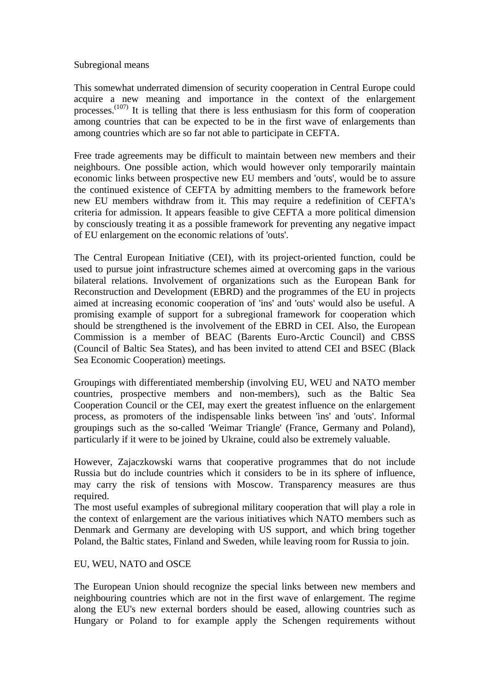#### Subregional means

This somewhat underrated dimension of security cooperation in Central Europe could acquire a new meaning and importance in the context of the enlargement processes.<sup>(107)</sup> It is telling that there is less enthusiasm for this form of cooperation among countries that can be expected to be in the first wave of enlargements than among countries which are so far not able to participate in CEFTA.

Free trade agreements may be difficult to maintain between new members and their neighbours. One possible action, which would however only temporarily maintain economic links between prospective new EU members and 'outs', would be to assure the continued existence of CEFTA by admitting members to the framework before new EU members withdraw from it. This may require a redefinition of CEFTA's criteria for admission. It appears feasible to give CEFTA a more political dimension by consciously treating it as a possible framework for preventing any negative impact of EU enlargement on the economic relations of 'outs'.

The Central European Initiative (CEI), with its project-oriented function, could be used to pursue joint infrastructure schemes aimed at overcoming gaps in the various bilateral relations. Involvement of organizations such as the European Bank for Reconstruction and Development (EBRD) and the programmes of the EU in projects aimed at increasing economic cooperation of 'ins' and 'outs' would also be useful. A promising example of support for a subregional framework for cooperation which should be strengthened is the involvement of the EBRD in CEI. Also, the European Commission is a member of BEAC (Barents Euro-Arctic Council) and CBSS (Council of Baltic Sea States), and has been invited to attend CEI and BSEC (Black Sea Economic Cooperation) meetings.

Groupings with differentiated membership (involving EU, WEU and NATO member countries, prospective members and non-members), such as the Baltic Sea Cooperation Council or the CEI, may exert the greatest influence on the enlargement process, as promoters of the indispensable links between 'ins' and 'outs'. Informal groupings such as the so-called 'Weimar Triangle' (France, Germany and Poland), particularly if it were to be joined by Ukraine, could also be extremely valuable.

However, Zajaczkowski warns that cooperative programmes that do not include Russia but do include countries which it considers to be in its sphere of influence, may carry the risk of tensions with Moscow. Transparency measures are thus required.

The most useful examples of subregional military cooperation that will play a role in the context of enlargement are the various initiatives which NATO members such as Denmark and Germany are developing with US support, and which bring together Poland, the Baltic states, Finland and Sweden, while leaving room for Russia to join.

#### EU, WEU, NATO and OSCE

The European Union should recognize the special links between new members and neighbouring countries which are not in the first wave of enlargement. The regime along the EU's new external borders should be eased, allowing countries such as Hungary or Poland to for example apply the Schengen requirements without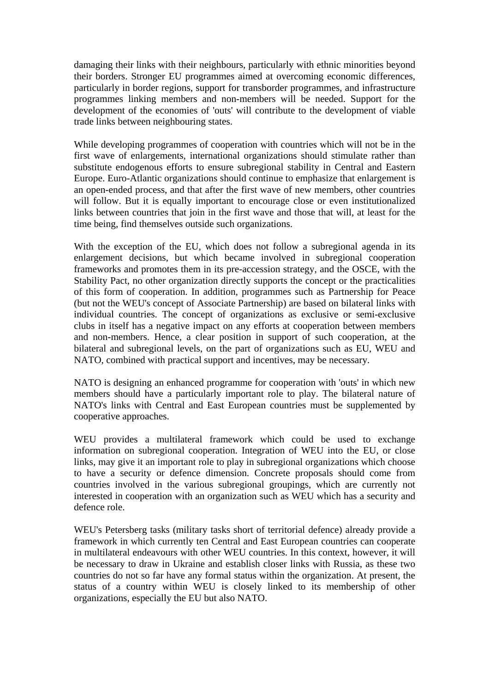damaging their links with their neighbours, particularly with ethnic minorities beyond their borders. Stronger EU programmes aimed at overcoming economic differences, particularly in border regions, support for transborder programmes, and infrastructure programmes linking members and non-members will be needed. Support for the development of the economies of 'outs' will contribute to the development of viable trade links between neighbouring states.

While developing programmes of cooperation with countries which will not be in the first wave of enlargements, international organizations should stimulate rather than substitute endogenous efforts to ensure subregional stability in Central and Eastern Europe. Euro-Atlantic organizations should continue to emphasize that enlargement is an open-ended process, and that after the first wave of new members, other countries will follow. But it is equally important to encourage close or even institutionalized links between countries that join in the first wave and those that will, at least for the time being, find themselves outside such organizations.

With the exception of the EU, which does not follow a subregional agenda in its enlargement decisions, but which became involved in subregional cooperation frameworks and promotes them in its pre-accession strategy, and the OSCE, with the Stability Pact, no other organization directly supports the concept or the practicalities of this form of cooperation. In addition, programmes such as Partnership for Peace (but not the WEU's concept of Associate Partnership) are based on bilateral links with individual countries. The concept of organizations as exclusive or semi-exclusive clubs in itself has a negative impact on any efforts at cooperation between members and non-members. Hence, a clear position in support of such cooperation, at the bilateral and subregional levels, on the part of organizations such as EU, WEU and NATO, combined with practical support and incentives, may be necessary.

NATO is designing an enhanced programme for cooperation with 'outs' in which new members should have a particularly important role to play. The bilateral nature of NATO's links with Central and East European countries must be supplemented by cooperative approaches.

WEU provides a multilateral framework which could be used to exchange information on subregional cooperation. Integration of WEU into the EU, or close links, may give it an important role to play in subregional organizations which choose to have a security or defence dimension. Concrete proposals should come from countries involved in the various subregional groupings, which are currently not interested in cooperation with an organization such as WEU which has a security and defence role.

WEU's Petersberg tasks (military tasks short of territorial defence) already provide a framework in which currently ten Central and East European countries can cooperate in multilateral endeavours with other WEU countries. In this context, however, it will be necessary to draw in Ukraine and establish closer links with Russia, as these two countries do not so far have any formal status within the organization. At present, the status of a country within WEU is closely linked to its membership of other organizations, especially the EU but also NATO.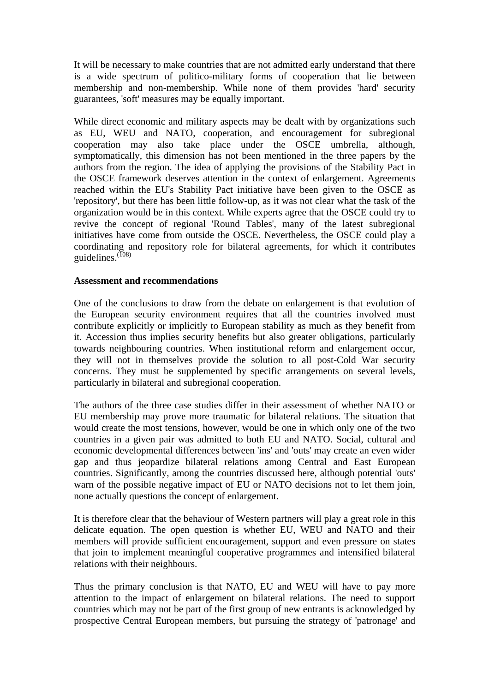It will be necessary to make countries that are not admitted early understand that there is a wide spectrum of politico-military forms of cooperation that lie between membership and non-membership. While none of them provides 'hard' security guarantees, 'soft' measures may be equally important.

While direct economic and military aspects may be dealt with by organizations such as EU, WEU and NATO, cooperation, and encouragement for subregional cooperation may also take place under the OSCE umbrella, although, symptomatically, this dimension has not been mentioned in the three papers by the authors from the region. The idea of applying the provisions of the Stability Pact in the OSCE framework deserves attention in the context of enlargement. Agreements reached within the EU's Stability Pact initiative have been given to the OSCE as 'repository', but there has been little follow-up, as it was not clear what the task of the organization would be in this context. While experts agree that the OSCE could try to revive the concept of regional 'Round Tables', many of the latest subregional initiatives have come from outside the OSCE. Nevertheless, the OSCE could play a coordinating and repository role for bilateral agreements, for which it contributes guidelines.<sup>(108)</sup>

#### **Assessment and recommendations**

One of the conclusions to draw from the debate on enlargement is that evolution of the European security environment requires that all the countries involved must contribute explicitly or implicitly to European stability as much as they benefit from it. Accession thus implies security benefits but also greater obligations, particularly towards neighbouring countries. When institutional reform and enlargement occur, they will not in themselves provide the solution to all post-Cold War security concerns. They must be supplemented by specific arrangements on several levels, particularly in bilateral and subregional cooperation.

The authors of the three case studies differ in their assessment of whether NATO or EU membership may prove more traumatic for bilateral relations. The situation that would create the most tensions, however, would be one in which only one of the two countries in a given pair was admitted to both EU and NATO. Social, cultural and economic developmental differences between 'ins' and 'outs' may create an even wider gap and thus jeopardize bilateral relations among Central and East European countries. Significantly, among the countries discussed here, although potential 'outs' warn of the possible negative impact of EU or NATO decisions not to let them join, none actually questions the concept of enlargement.

It is therefore clear that the behaviour of Western partners will play a great role in this delicate equation. The open question is whether EU, WEU and NATO and their members will provide sufficient encouragement, support and even pressure on states that join to implement meaningful cooperative programmes and intensified bilateral relations with their neighbours.

Thus the primary conclusion is that NATO, EU and WEU will have to pay more attention to the impact of enlargement on bilateral relations. The need to support countries which may not be part of the first group of new entrants is acknowledged by prospective Central European members, but pursuing the strategy of 'patronage' and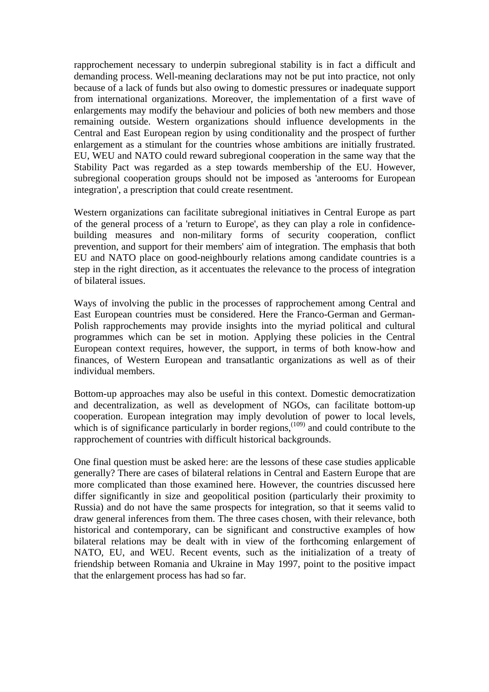rapprochement necessary to underpin subregional stability is in fact a difficult and demanding process. Well-meaning declarations may not be put into practice, not only because of a lack of funds but also owing to domestic pressures or inadequate support from international organizations. Moreover, the implementation of a first wave of enlargements may modify the behaviour and policies of both new members and those remaining outside. Western organizations should influence developments in the Central and East European region by using conditionality and the prospect of further enlargement as a stimulant for the countries whose ambitions are initially frustrated. EU, WEU and NATO could reward subregional cooperation in the same way that the Stability Pact was regarded as a step towards membership of the EU. However, subregional cooperation groups should not be imposed as 'anterooms for European integration', a prescription that could create resentment.

Western organizations can facilitate subregional initiatives in Central Europe as part of the general process of a 'return to Europe', as they can play a role in confidencebuilding measures and non-military forms of security cooperation, conflict prevention, and support for their members' aim of integration. The emphasis that both EU and NATO place on good-neighbourly relations among candidate countries is a step in the right direction, as it accentuates the relevance to the process of integration of bilateral issues.

Ways of involving the public in the processes of rapprochement among Central and East European countries must be considered. Here the Franco-German and German-Polish rapprochements may provide insights into the myriad political and cultural programmes which can be set in motion. Applying these policies in the Central European context requires, however, the support, in terms of both know-how and finances, of Western European and transatlantic organizations as well as of their individual members.

Bottom-up approaches may also be useful in this context. Domestic democratization and decentralization, as well as development of NGOs, can facilitate bottom-up cooperation. European integration may imply devolution of power to local levels, which is of significance particularly in border regions,<sup> $(109)$ </sup> and could contribute to the rapprochement of countries with difficult historical backgrounds.

One final question must be asked here: are the lessons of these case studies applicable generally? There are cases of bilateral relations in Central and Eastern Europe that are more complicated than those examined here. However, the countries discussed here differ significantly in size and geopolitical position (particularly their proximity to Russia) and do not have the same prospects for integration, so that it seems valid to draw general inferences from them. The three cases chosen, with their relevance, both historical and contemporary, can be significant and constructive examples of how bilateral relations may be dealt with in view of the forthcoming enlargement of NATO, EU, and WEU. Recent events, such as the initialization of a treaty of friendship between Romania and Ukraine in May 1997, point to the positive impact that the enlargement process has had so far.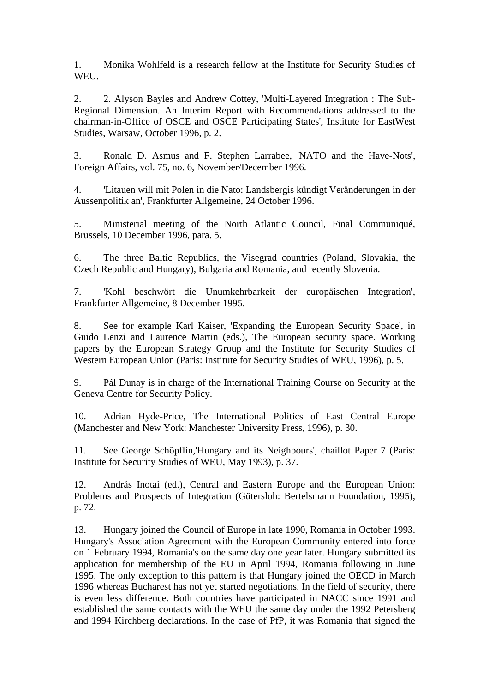1. Monika Wohlfeld is a research fellow at the Institute for Security Studies of WEU.

2. 2. Alyson Bayles and Andrew Cottey, 'Multi-Layered Integration : The Sub-Regional Dimension. An Interim Report with Recommendations addressed to the chairman-in-Office of OSCE and OSCE Participating States', Institute for EastWest Studies, Warsaw, October 1996, p. 2.

3. Ronald D. Asmus and F. Stephen Larrabee, 'NATO and the Have-Nots', Foreign Affairs, vol. 75, no. 6, November/December 1996.

4. 'Litauen will mit Polen in die Nato: Landsbergis kündigt Veränderungen in der Aussenpolitik an', Frankfurter Allgemeine, 24 October 1996.

5. Ministerial meeting of the North Atlantic Council, Final Communiqué, Brussels, 10 December 1996, para. 5.

6. The three Baltic Republics, the Visegrad countries (Poland, Slovakia, the Czech Republic and Hungary), Bulgaria and Romania, and recently Slovenia.

7. 'Kohl beschwört die Unumkehrbarkeit der europäischen Integration', Frankfurter Allgemeine, 8 December 1995.

8. See for example Karl Kaiser, 'Expanding the European Security Space', in Guido Lenzi and Laurence Martin (eds.), The European security space. Working papers by the European Strategy Group and the Institute for Security Studies of Western European Union (Paris: Institute for Security Studies of WEU, 1996), p. 5.

9. Pál Dunay is in charge of the International Training Course on Security at the Geneva Centre for Security Policy.

10. Adrian Hyde-Price, The International Politics of East Central Europe (Manchester and New York: Manchester University Press, 1996), p. 30.

11. See George Schöpflin,'Hungary and its Neighbours', chaillot Paper 7 (Paris: Institute for Security Studies of WEU, May 1993), p. 37.

12. András Inotai (ed.), Central and Eastern Europe and the European Union: Problems and Prospects of Integration (Gütersloh: Bertelsmann Foundation, 1995), p. 72.

13. Hungary joined the Council of Europe in late 1990, Romania in October 1993. Hungary's Association Agreement with the European Community entered into force on 1 February 1994, Romania's on the same day one year later. Hungary submitted its application for membership of the EU in April 1994, Romania following in June 1995. The only exception to this pattern is that Hungary joined the OECD in March 1996 whereas Bucharest has not yet started negotiations. In the field of security, there is even less difference. Both countries have participated in NACC since 1991 and established the same contacts with the WEU the same day under the 1992 Petersberg and 1994 Kirchberg declarations. In the case of PfP, it was Romania that signed the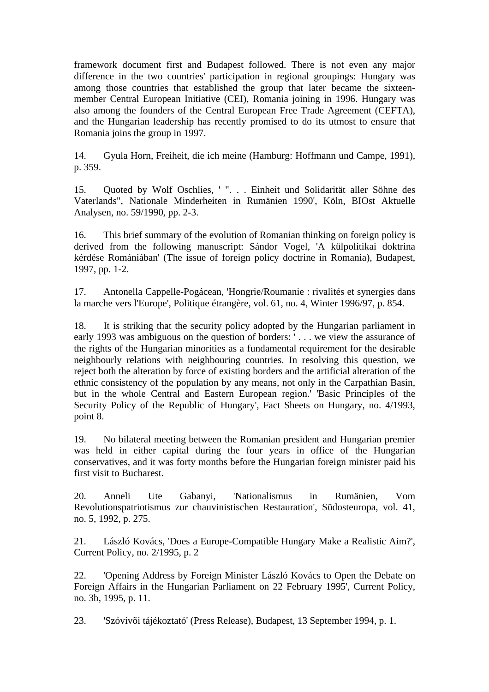framework document first and Budapest followed. There is not even any major difference in the two countries' participation in regional groupings: Hungary was among those countries that established the group that later became the sixteenmember Central European Initiative (CEI), Romania joining in 1996. Hungary was also among the founders of the Central European Free Trade Agreement (CEFTA), and the Hungarian leadership has recently promised to do its utmost to ensure that Romania joins the group in 1997.

14. Gyula Horn, Freiheit, die ich meine (Hamburg: Hoffmann und Campe, 1991), p. 359.

15. Quoted by Wolf Oschlies, ' ". . . Einheit und Solidarität aller Söhne des Vaterlands", Nationale Minderheiten in Rumänien 1990', Köln, BIOst Aktuelle Analysen, no. 59/1990, pp. 2-3.

16. This brief summary of the evolution of Romanian thinking on foreign policy is derived from the following manuscript: Sándor Vogel, 'A külpolitikai doktrina kérdése Romániában' (The issue of foreign policy doctrine in Romania), Budapest, 1997, pp. 1-2.

17. Antonella Cappelle-Pogácean, 'Hongrie/Roumanie : rivalités et synergies dans la marche vers l'Europe', Politique étrangère, vol. 61, no. 4, Winter 1996/97, p. 854.

18. It is striking that the security policy adopted by the Hungarian parliament in early 1993 was ambiguous on the question of borders: ' . . . we view the assurance of the rights of the Hungarian minorities as a fundamental requirement for the desirable neighbourly relations with neighbouring countries. In resolving this question, we reject both the alteration by force of existing borders and the artificial alteration of the ethnic consistency of the population by any means, not only in the Carpathian Basin, but in the whole Central and Eastern European region.' 'Basic Principles of the Security Policy of the Republic of Hungary', Fact Sheets on Hungary, no. 4/1993, point 8.

19. No bilateral meeting between the Romanian president and Hungarian premier was held in either capital during the four years in office of the Hungarian conservatives, and it was forty months before the Hungarian foreign minister paid his first visit to Bucharest.

20. Anneli Ute Gabanyi, 'Nationalismus in Rumänien, Vom Revolutionspatriotismus zur chauvinistischen Restauration', Südosteuropa, vol. 41, no. 5, 1992, p. 275.

21. László Kovács, 'Does a Europe-Compatible Hungary Make a Realistic Aim?', Current Policy, no. 2/1995, p. 2

22. 'Opening Address by Foreign Minister László Kovács to Open the Debate on Foreign Affairs in the Hungarian Parliament on 22 February 1995', Current Policy, no. 3b, 1995, p. 11.

23. 'Szóvivõi tájékoztató' (Press Release), Budapest, 13 September 1994, p. 1.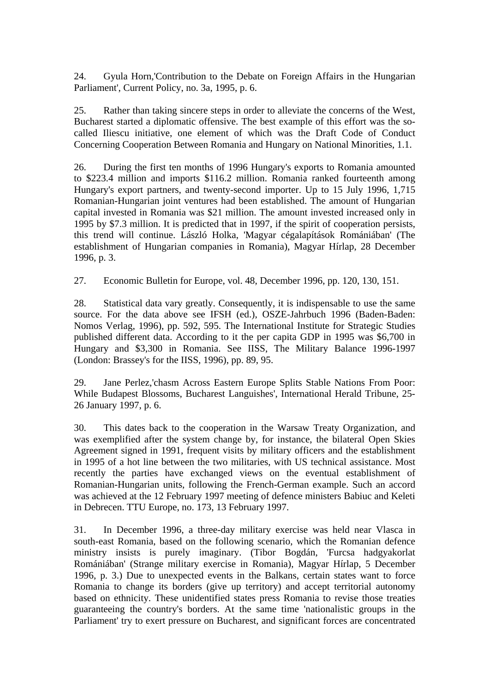24. Gyula Horn,'Contribution to the Debate on Foreign Affairs in the Hungarian Parliament', Current Policy, no. 3a, 1995, p. 6.

25. Rather than taking sincere steps in order to alleviate the concerns of the West, Bucharest started a diplomatic offensive. The best example of this effort was the socalled Iliescu initiative, one element of which was the Draft Code of Conduct Concerning Cooperation Between Romania and Hungary on National Minorities, 1.1.

26. During the first ten months of 1996 Hungary's exports to Romania amounted to \$223.4 million and imports \$116.2 million. Romania ranked fourteenth among Hungary's export partners, and twenty-second importer. Up to 15 July 1996, 1,715 Romanian-Hungarian joint ventures had been established. The amount of Hungarian capital invested in Romania was \$21 million. The amount invested increased only in 1995 by \$7.3 million. It is predicted that in 1997, if the spirit of cooperation persists, this trend will continue. László Holka, 'Magyar cégalapítások Romániában' (The establishment of Hungarian companies in Romania), Magyar Hírlap, 28 December 1996, p. 3.

27. Economic Bulletin for Europe, vol. 48, December 1996, pp. 120, 130, 151.

28. Statistical data vary greatly. Consequently, it is indispensable to use the same source. For the data above see IFSH (ed.), OSZE-Jahrbuch 1996 (Baden-Baden: Nomos Verlag, 1996), pp. 592, 595. The International Institute for Strategic Studies published different data. According to it the per capita GDP in 1995 was \$6,700 in Hungary and \$3,300 in Romania. See IISS, The Military Balance 1996-1997 (London: Brassey's for the IISS, 1996), pp. 89, 95.

29. Jane Perlez,'chasm Across Eastern Europe Splits Stable Nations From Poor: While Budapest Blossoms, Bucharest Languishes', International Herald Tribune, 25- 26 January 1997, p. 6.

30. This dates back to the cooperation in the Warsaw Treaty Organization, and was exemplified after the system change by, for instance, the bilateral Open Skies Agreement signed in 1991, frequent visits by military officers and the establishment in 1995 of a hot line between the two militaries, with US technical assistance. Most recently the parties have exchanged views on the eventual establishment of Romanian-Hungarian units, following the French-German example. Such an accord was achieved at the 12 February 1997 meeting of defence ministers Babiuc and Keleti in Debrecen. TTU Europe, no. 173, 13 February 1997.

31. In December 1996, a three-day military exercise was held near Vlasca in south-east Romania, based on the following scenario, which the Romanian defence ministry insists is purely imaginary. (Tibor Bogdán, 'Furcsa hadgyakorlat Romániában' (Strange military exercise in Romania), Magyar Hírlap, 5 December 1996, p. 3.) Due to unexpected events in the Balkans, certain states want to force Romania to change its borders (give up territory) and accept territorial autonomy based on ethnicity. These unidentified states press Romania to revise those treaties guaranteeing the country's borders. At the same time 'nationalistic groups in the Parliament' try to exert pressure on Bucharest, and significant forces are concentrated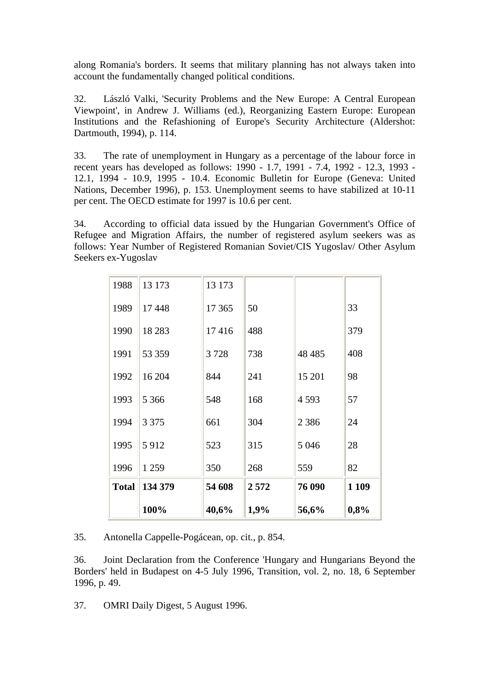along Romania's borders. It seems that military planning has not always taken into account the fundamentally changed political conditions.

32. László Valki, 'Security Problems and the New Europe: A Central European Viewpoint', in Andrew J. Williams (ed.), Reorganizing Eastern Europe: European Institutions and the Refashioning of Europe's Security Architecture (Aldershot: Dartmouth, 1994), p. 114.

33. The rate of unemployment in Hungary as a percentage of the labour force in recent years has developed as follows: 1990 - 1.7, 1991 - 7.4, 1992 - 12.3, 1993 - 12.1, 1994 - 10.9, 1995 - 10.4. Economic Bulletin for Europe (Geneva: United Nations, December 1996), p. 153. Unemployment seems to have stabilized at 10-11 per cent. The OECD estimate for 1997 is 10.6 per cent.

34. According to official data issued by the Hungarian Government's Office of Refugee and Migration Affairs, the number of registered asylum seekers was as follows: Year Number of Registered Romanian Soviet/CIS Yugoslav/ Other Asylum Seekers ex-Yugoslav

|              | 100%     | 40,6%   | 1,9% | 56,6%    | 0,8%  |
|--------------|----------|---------|------|----------|-------|
| <b>Total</b> | 134 379  | 54 608  | 2572 | 76 090   | 1 109 |
| 1996         | 1 2 5 9  | 350     | 268  | 559      | 82    |
| 1995         | 5912     | 523     | 315  | 5 0 4 6  | 28    |
| 1994         | 3 3 7 5  | 661     | 304  | 2 3 8 6  | 24    |
| 1993         | 5 3 6 6  | 548     | 168  | 4593     | 57    |
| 1992         | 16 204   | 844     | 241  | 15 201   | 98    |
| 1991         | 53 359   | 3728    | 738  | 48 4 8 5 | 408   |
| 1990         | 18 2 8 3 | 17416   | 488  |          | 379   |
| 1989         | 17 448   | 17 3 65 | 50   |          | 33    |
| 1988         | 13 173   | 13 173  |      |          |       |

35. Antonella Cappelle-Pogácean, op. cit., p. 854.

36. Joint Declaration from the Conference 'Hungary and Hungarians Beyond the Borders' held in Budapest on 4-5 July 1996, Transition, vol. 2, no. 18, 6 September 1996, p. 49.

37. OMRI Daily Digest, 5 August 1996.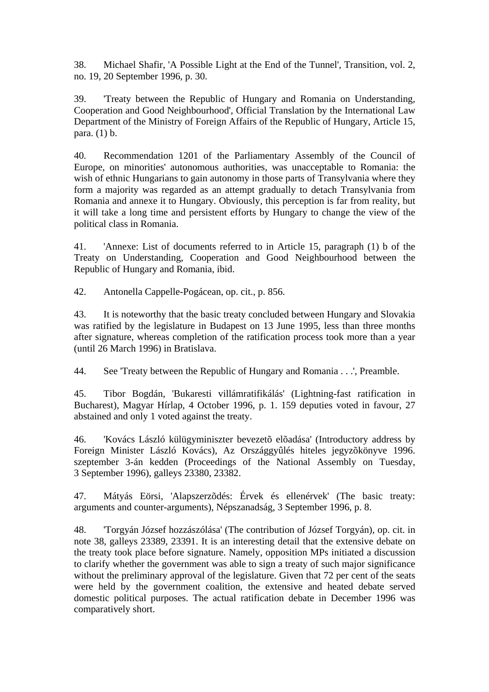38. Michael Shafir, 'A Possible Light at the End of the Tunnel', Transition, vol. 2, no. 19, 20 September 1996, p. 30.

39. 'Treaty between the Republic of Hungary and Romania on Understanding, Cooperation and Good Neighbourhood', Official Translation by the International Law Department of the Ministry of Foreign Affairs of the Republic of Hungary, Article 15, para. (1) b.

40. Recommendation 1201 of the Parliamentary Assembly of the Council of Europe, on minorities' autonomous authorities, was unacceptable to Romania: the wish of ethnic Hungarians to gain autonomy in those parts of Transylvania where they form a majority was regarded as an attempt gradually to detach Transylvania from Romania and annexe it to Hungary. Obviously, this perception is far from reality, but it will take a long time and persistent efforts by Hungary to change the view of the political class in Romania.

41. 'Annexe: List of documents referred to in Article 15, paragraph (1) b of the Treaty on Understanding, Cooperation and Good Neighbourhood between the Republic of Hungary and Romania, ibid.

42. Antonella Cappelle-Pogácean, op. cit., p. 856.

43. It is noteworthy that the basic treaty concluded between Hungary and Slovakia was ratified by the legislature in Budapest on 13 June 1995, less than three months after signature, whereas completion of the ratification process took more than a year (until 26 March 1996) in Bratislava.

44. See 'Treaty between the Republic of Hungary and Romania . . .', Preamble.

45. Tibor Bogdán, 'Bukaresti villámratifikálás' (Lightning-fast ratification in Bucharest), Magyar Hírlap, 4 October 1996, p. 1. 159 deputies voted in favour, 27 abstained and only 1 voted against the treaty.

46. 'Kovács László külügyminiszter bevezetõ elõadása' (Introductory address by Foreign Minister László Kovács), Az Országgyûlés hiteles jegyzõkönyve 1996. szeptember 3-án kedden (Proceedings of the National Assembly on Tuesday, 3 September 1996), galleys 23380, 23382.

47. Mátyás Eörsi, 'Alapszerzõdés: Érvek és ellenérvek' (The basic treaty: arguments and counter-arguments), Népszanadság, 3 September 1996, p. 8.

48. 'Torgyán József hozzászólása' (The contribution of József Torgyán), op. cit. in note 38, galleys 23389, 23391. It is an interesting detail that the extensive debate on the treaty took place before signature. Namely, opposition MPs initiated a discussion to clarify whether the government was able to sign a treaty of such major significance without the preliminary approval of the legislature. Given that 72 per cent of the seats were held by the government coalition, the extensive and heated debate served domestic political purposes. The actual ratification debate in December 1996 was comparatively short.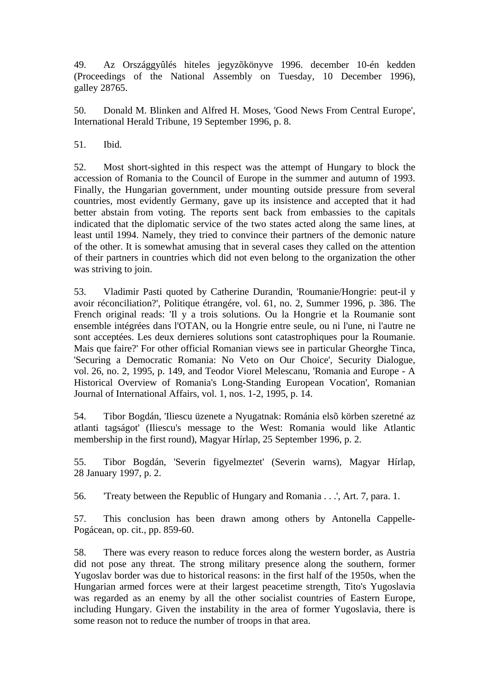49. Az Országgyûlés hiteles jegyzõkönyve 1996. december 10-én kedden (Proceedings of the National Assembly on Tuesday, 10 December 1996), galley 28765.

50. Donald M. Blinken and Alfred H. Moses, 'Good News From Central Europe', International Herald Tribune, 19 September 1996, p. 8.

51. Ibid.

52. Most short-sighted in this respect was the attempt of Hungary to block the accession of Romania to the Council of Europe in the summer and autumn of 1993. Finally, the Hungarian government, under mounting outside pressure from several countries, most evidently Germany, gave up its insistence and accepted that it had better abstain from voting. The reports sent back from embassies to the capitals indicated that the diplomatic service of the two states acted along the same lines, at least until 1994. Namely, they tried to convince their partners of the demonic nature of the other. It is somewhat amusing that in several cases they called on the attention of their partners in countries which did not even belong to the organization the other was striving to join.

53. Vladimir Pasti quoted by Catherine Durandin, 'Roumanie/Hongrie: peut-il y avoir réconciliation?', Politique étrangére, vol. 61, no. 2, Summer 1996, p. 386. The French original reads: 'Il y a trois solutions. Ou la Hongrie et la Roumanie sont ensemble intégrées dans l'OTAN, ou la Hongrie entre seule, ou ni l'une, ni l'autre ne sont acceptées. Les deux dernieres solutions sont catastrophiques pour la Roumanie. Mais que faire?' For other official Romanian views see in particular Gheorghe Tinca, 'Securing a Democratic Romania: No Veto on Our Choice', Security Dialogue, vol. 26, no. 2, 1995, p. 149, and Teodor Viorel Melescanu, 'Romania and Europe - A Historical Overview of Romania's Long-Standing European Vocation', Romanian Journal of International Affairs, vol. 1, nos. 1-2, 1995, p. 14.

54. Tibor Bogdán, 'Iliescu üzenete a Nyugatnak: Románia elsõ körben szeretné az atlanti tagságot' (Iliescu's message to the West: Romania would like Atlantic membership in the first round), Magyar Hírlap, 25 September 1996, p. 2.

55. Tibor Bogdán, 'Severin figyelmeztet' (Severin warns), Magyar Hírlap, 28 January 1997, p. 2.

56. 'Treaty between the Republic of Hungary and Romania . . .', Art. 7, para. 1.

57. This conclusion has been drawn among others by Antonella Cappelle-Pogácean, op. cit., pp. 859-60.

58. There was every reason to reduce forces along the western border, as Austria did not pose any threat. The strong military presence along the southern, former Yugoslav border was due to historical reasons: in the first half of the 1950s, when the Hungarian armed forces were at their largest peacetime strength, Tito's Yugoslavia was regarded as an enemy by all the other socialist countries of Eastern Europe, including Hungary. Given the instability in the area of former Yugoslavia, there is some reason not to reduce the number of troops in that area.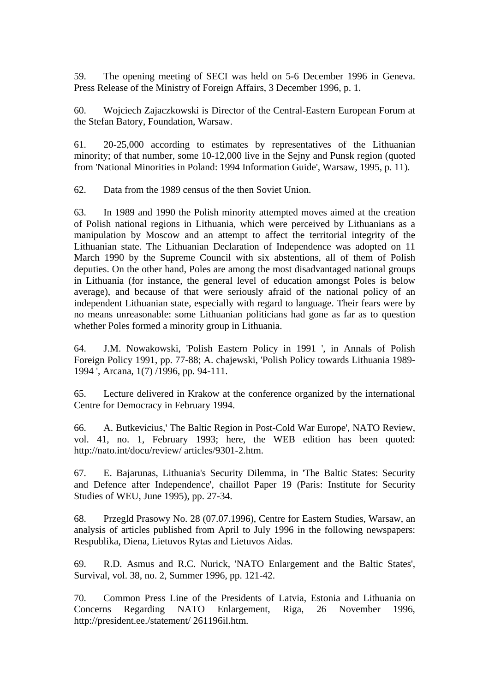59. The opening meeting of SECI was held on 5-6 December 1996 in Geneva. Press Release of the Ministry of Foreign Affairs, 3 December 1996, p. 1.

60. Wojciech Zajaczkowski is Director of the Central-Eastern European Forum at the Stefan Batory, Foundation, Warsaw.

61. 20-25,000 according to estimates by representatives of the Lithuanian minority; of that number, some 10-12,000 live in the Sejny and Punsk region (quoted from 'National Minorities in Poland: 1994 Information Guide', Warsaw, 1995, p. 11).

62. Data from the 1989 census of the then Soviet Union.

63. In 1989 and 1990 the Polish minority attempted moves aimed at the creation of Polish national regions in Lithuania, which were perceived by Lithuanians as a manipulation by Moscow and an attempt to affect the territorial integrity of the Lithuanian state. The Lithuanian Declaration of Independence was adopted on 11 March 1990 by the Supreme Council with six abstentions, all of them of Polish deputies. On the other hand, Poles are among the most disadvantaged national groups in Lithuania (for instance, the general level of education amongst Poles is below average), and because of that were seriously afraid of the national policy of an independent Lithuanian state, especially with regard to language. Their fears were by no means unreasonable: some Lithuanian politicians had gone as far as to question whether Poles formed a minority group in Lithuania.

64. J.M. Nowakowski, 'Polish Eastern Policy in 1991 ', in Annals of Polish Foreign Policy 1991, pp. 77-88; A. chajewski, 'Polish Policy towards Lithuania 1989- 1994 ', Arcana, 1(7) /1996, pp. 94-111.

65. Lecture delivered in Krakow at the conference organized by the international Centre for Democracy in February 1994.

66. A. Butkevicius,' The Baltic Region in Post-Cold War Europe', NATO Review, vol. 41, no. 1, February 1993; here, the WEB edition has been quoted: http://nato.int/docu/review/ articles/9301-2.htm.

67. E. Bajarunas, Lithuania's Security Dilemma, in 'The Baltic States: Security and Defence after Independence', chaillot Paper 19 (Paris: Institute for Security Studies of WEU, June 1995), pp. 27-34.

68. Przegld Prasowy No. 28 (07.07.1996), Centre for Eastern Studies, Warsaw, an analysis of articles published from April to July 1996 in the following newspapers: Respublika, Diena, Lietuvos Rytas and Lietuvos Aidas.

69. R.D. Asmus and R.C. Nurick, 'NATO Enlargement and the Baltic States', Survival, vol. 38, no. 2, Summer 1996, pp. 121-42.

70. Common Press Line of the Presidents of Latvia, Estonia and Lithuania on Concerns Regarding NATO Enlargement, Riga, 26 November 1996, http://president.ee./statement/ 261196il.htm.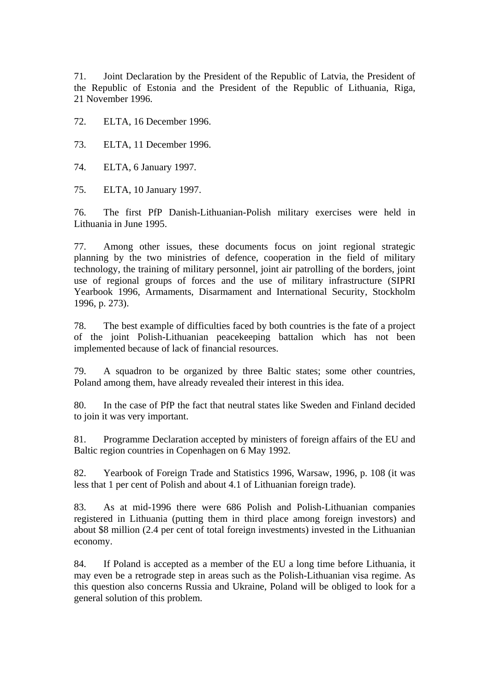71. Joint Declaration by the President of the Republic of Latvia, the President of the Republic of Estonia and the President of the Republic of Lithuania, Riga, 21 November 1996.

72. ELTA, 16 December 1996.

73. ELTA, 11 December 1996.

74. ELTA, 6 January 1997.

75. ELTA, 10 January 1997.

76. The first PfP Danish-Lithuanian-Polish military exercises were held in Lithuania in June 1995.

77. Among other issues, these documents focus on joint regional strategic planning by the two ministries of defence, cooperation in the field of military technology, the training of military personnel, joint air patrolling of the borders, joint use of regional groups of forces and the use of military infrastructure (SIPRI Yearbook 1996, Armaments, Disarmament and International Security, Stockholm 1996, p. 273).

78. The best example of difficulties faced by both countries is the fate of a project of the joint Polish-Lithuanian peacekeeping battalion which has not been implemented because of lack of financial resources.

79. A squadron to be organized by three Baltic states; some other countries, Poland among them, have already revealed their interest in this idea.

80. In the case of PfP the fact that neutral states like Sweden and Finland decided to join it was very important.

81. Programme Declaration accepted by ministers of foreign affairs of the EU and Baltic region countries in Copenhagen on 6 May 1992.

82. Yearbook of Foreign Trade and Statistics 1996, Warsaw, 1996, p. 108 (it was less that 1 per cent of Polish and about 4.1 of Lithuanian foreign trade).

83. As at mid-1996 there were 686 Polish and Polish-Lithuanian companies registered in Lithuania (putting them in third place among foreign investors) and about \$8 million (2.4 per cent of total foreign investments) invested in the Lithuanian economy.

84. If Poland is accepted as a member of the EU a long time before Lithuania, it may even be a retrograde step in areas such as the Polish-Lithuanian visa regime. As this question also concerns Russia and Ukraine, Poland will be obliged to look for a general solution of this problem.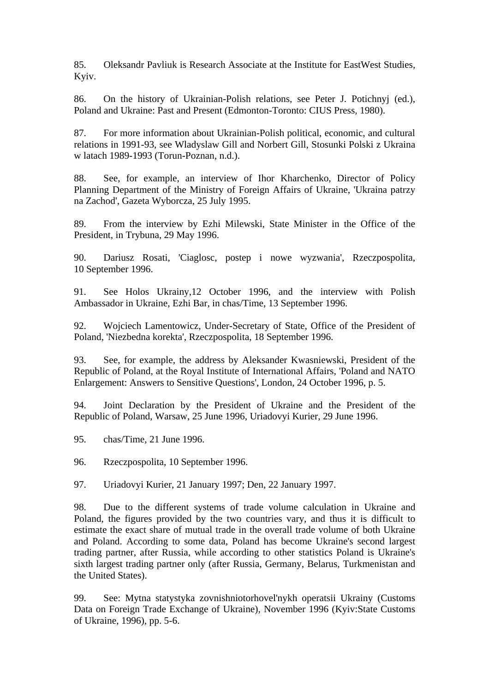85. Oleksandr Pavliuk is Research Associate at the Institute for EastWest Studies, Kyiv.

86. On the history of Ukrainian-Polish relations, see Peter J. Potichnyj (ed.), Poland and Ukraine: Past and Present (Edmonton-Toronto: CIUS Press, 1980).

87. For more information about Ukrainian-Polish political, economic, and cultural relations in 1991-93, see Wladyslaw Gill and Norbert Gill, Stosunki Polski z Ukraina w latach 1989-1993 (Torun-Poznan, n.d.).

88. See, for example, an interview of Ihor Kharchenko, Director of Policy Planning Department of the Ministry of Foreign Affairs of Ukraine, 'Ukraina patrzy na Zachod', Gazeta Wyborcza, 25 July 1995.

89. From the interview by Ezhi Milewski, State Minister in the Office of the President, in Trybuna, 29 May 1996.

90. Dariusz Rosati, 'Ciaglosc, postep i nowe wyzwania', Rzeczpospolita, 10 September 1996.

91. See Holos Ukrainy,12 October 1996, and the interview with Polish Ambassador in Ukraine, Ezhi Bar, in chas/Time, 13 September 1996.

92. Wojciech Lamentowicz, Under-Secretary of State, Office of the President of Poland, 'Niezbedna korekta', Rzeczpospolita, 18 September 1996.

93. See, for example, the address by Aleksander Kwasniewski, President of the Republic of Poland, at the Royal Institute of International Affairs, 'Poland and NATO Enlargement: Answers to Sensitive Questions', London, 24 October 1996, p. 5.

94. Joint Declaration by the President of Ukraine and the President of the Republic of Poland, Warsaw, 25 June 1996, Uriadovyi Kurier, 29 June 1996.

95. chas/Time, 21 June 1996.

96. Rzeczpospolita, 10 September 1996.

97. Uriadovyi Kurier, 21 January 1997; Den, 22 January 1997.

98. Due to the different systems of trade volume calculation in Ukraine and Poland, the figures provided by the two countries vary, and thus it is difficult to estimate the exact share of mutual trade in the overall trade volume of both Ukraine and Poland. According to some data, Poland has become Ukraine's second largest trading partner, after Russia, while according to other statistics Poland is Ukraine's sixth largest trading partner only (after Russia, Germany, Belarus, Turkmenistan and the United States).

99. See: Mytna statystyka zovnishniotorhovel'nykh operatsii Ukrainy (Customs Data on Foreign Trade Exchange of Ukraine), November 1996 (Kyiv:State Customs of Ukraine, 1996), pp. 5-6.